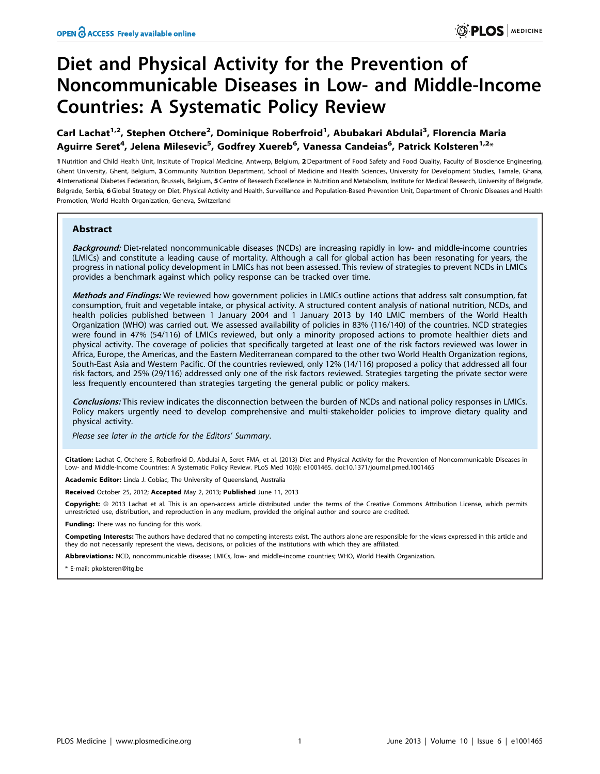# Diet and Physical Activity for the Prevention of Noncommunicable Diseases in Low- and Middle-Income Countries: A Systematic Policy Review

Carl Lachat<sup>1,2</sup>, Stephen Otchere<sup>2</sup>, Dominique Roberfroid<sup>1</sup>, Abubakari Abdulai<sup>3</sup>, Florencia Maria Aguirre Seret<sup>4</sup>, Jelena Milesevic<sup>5</sup>, Godfrey Xuereb<sup>6</sup>, Vanessa Candeias<sup>6</sup>, Patrick Kolsteren<sup>1,2</sup>\*

1 Nutrition and Child Health Unit, Institute of Tropical Medicine, Antwerp, Belgium, 2Department of Food Safety and Food Quality, Faculty of Bioscience Engineering, Ghent University, Ghent, Belgium, 3 Community Nutrition Department, School of Medicine and Health Sciences, University for Development Studies, Tamale, Ghana, 4 International Diabetes Federation, Brussels, Belgium, 5 Centre of Research Excellence in Nutrition and Metabolism, Institute for Medical Research, University of Belgrade, Belgrade, Serbia, 6 Global Strategy on Diet, Physical Activity and Health, Surveillance and Population-Based Prevention Unit, Department of Chronic Diseases and Health Promotion, World Health Organization, Geneva, Switzerland

# Abstract

Background: Diet-related noncommunicable diseases (NCDs) are increasing rapidly in low- and middle-income countries (LMICs) and constitute a leading cause of mortality. Although a call for global action has been resonating for years, the progress in national policy development in LMICs has not been assessed. This review of strategies to prevent NCDs in LMICs provides a benchmark against which policy response can be tracked over time.

Methods and Findings: We reviewed how government policies in LMICs outline actions that address salt consumption, fat consumption, fruit and vegetable intake, or physical activity. A structured content analysis of national nutrition, NCDs, and health policies published between 1 January 2004 and 1 January 2013 by 140 LMIC members of the World Health Organization (WHO) was carried out. We assessed availability of policies in 83% (116/140) of the countries. NCD strategies were found in 47% (54/116) of LMICs reviewed, but only a minority proposed actions to promote healthier diets and physical activity. The coverage of policies that specifically targeted at least one of the risk factors reviewed was lower in Africa, Europe, the Americas, and the Eastern Mediterranean compared to the other two World Health Organization regions, South-East Asia and Western Pacific. Of the countries reviewed, only 12% (14/116) proposed a policy that addressed all four risk factors, and 25% (29/116) addressed only one of the risk factors reviewed. Strategies targeting the private sector were less frequently encountered than strategies targeting the general public or policy makers.

Conclusions: This review indicates the disconnection between the burden of NCDs and national policy responses in LMICs. Policy makers urgently need to develop comprehensive and multi-stakeholder policies to improve dietary quality and physical activity.

Please see later in the article for the Editors' Summary.

Citation: Lachat C, Otchere S, Roberfroid D, Abdulai A, Seret FMA, et al. (2013) Diet and Physical Activity for the Prevention of Noncommunicable Diseases in Low- and Middle-Income Countries: A Systematic Policy Review. PLoS Med 10(6): e1001465. doi:10.1371/journal.pmed.1001465

Academic Editor: Linda J. Cobiac, The University of Queensland, Australia

Received October 25, 2012; Accepted May 2, 2013; Published June 11, 2013

**Copyright:** © 2013 Lachat et al. This is an open-access article distributed under the terms of the Creative Commons Attribution License, which permits unrestricted use, distribution, and reproduction in any medium, provided the original author and source are credited.

**Funding:** There was no funding for this work.

Competing Interests: The authors have declared that no competing interests exist. The authors alone are responsible for the views expressed in this article and they do not necessarily represent the views, decisions, or policies of the institutions with which they are affiliated.

Abbreviations: NCD, noncommunicable disease; LMICs, low- and middle-income countries; WHO, World Health Organization.

\* E-mail: pkolsteren@itg.be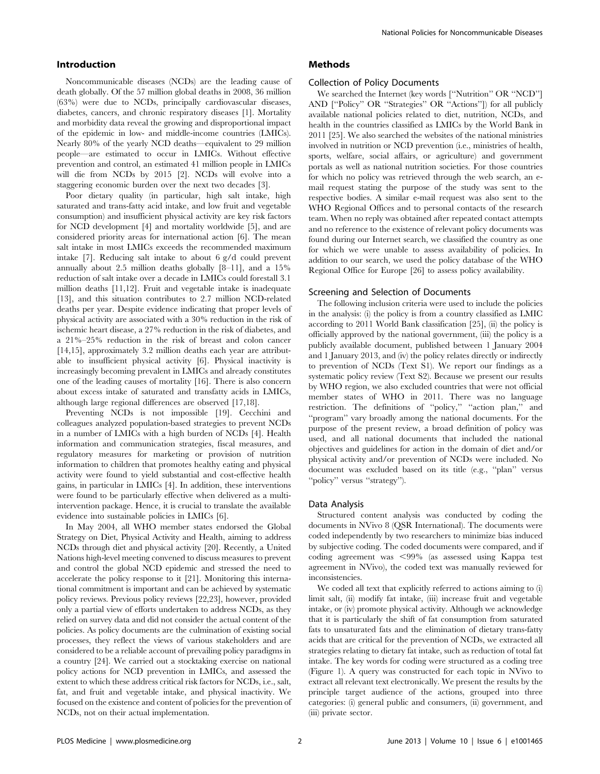## Introduction

Noncommunicable diseases (NCDs) are the leading cause of death globally. Of the 57 million global deaths in 2008, 36 million (63%) were due to NCDs, principally cardiovascular diseases, diabetes, cancers, and chronic respiratory diseases [1]. Mortality and morbidity data reveal the growing and disproportional impact of the epidemic in low- and middle-income countries (LMICs). Nearly 80% of the yearly NCD deaths—equivalent to 29 million people—are estimated to occur in LMICs. Without effective prevention and control, an estimated 41 million people in LMICs will die from NCDs by 2015 [2]. NCDs will evolve into a staggering economic burden over the next two decades [3].

Poor dietary quality (in particular, high salt intake, high saturated and trans-fatty acid intake, and low fruit and vegetable consumption) and insufficient physical activity are key risk factors for NCD development [4] and mortality worldwide [5], and are considered priority areas for international action [6]. The mean salt intake in most LMICs exceeds the recommended maximum intake [7]. Reducing salt intake to about 6 g/d could prevent annually about 2.5 million deaths globally [8–11], and a 15% reduction of salt intake over a decade in LMICs could forestall 3.1 million deaths [11,12]. Fruit and vegetable intake is inadequate [13], and this situation contributes to 2.7 million NCD-related deaths per year. Despite evidence indicating that proper levels of physical activity are associated with a 30% reduction in the risk of ischemic heart disease, a 27% reduction in the risk of diabetes, and a 21%–25% reduction in the risk of breast and colon cancer [14,15], approximately 3.2 million deaths each year are attributable to insufficient physical activity [6]. Physical inactivity is increasingly becoming prevalent in LMICs and already constitutes one of the leading causes of mortality [16]. There is also concern about excess intake of saturated and transfatty acids in LMICs, although large regional differences are observed [17,18].

Preventing NCDs is not impossible [19]. Cecchini and colleagues analyzed population-based strategies to prevent NCDs in a number of LMICs with a high burden of NCDs [4]. Health information and communication strategies, fiscal measures, and regulatory measures for marketing or provision of nutrition information to children that promotes healthy eating and physical activity were found to yield substantial and cost-effective health gains, in particular in LMICs [4]. In addition, these interventions were found to be particularly effective when delivered as a multiintervention package. Hence, it is crucial to translate the available evidence into sustainable policies in LMICs [6].

In May 2004, all WHO member states endorsed the Global Strategy on Diet, Physical Activity and Health, aiming to address NCDs through diet and physical activity [20]. Recently, a United Nations high-level meeting convened to discuss measures to prevent and control the global NCD epidemic and stressed the need to accelerate the policy response to it [21]. Monitoring this international commitment is important and can be achieved by systematic policy reviews. Previous policy reviews [22,23], however, provided only a partial view of efforts undertaken to address NCDs, as they relied on survey data and did not consider the actual content of the policies. As policy documents are the culmination of existing social processes, they reflect the views of various stakeholders and are considered to be a reliable account of prevailing policy paradigms in a country [24]. We carried out a stocktaking exercise on national policy actions for NCD prevention in LMICs, and assessed the extent to which these address critical risk factors for NCDs, i.e., salt, fat, and fruit and vegetable intake, and physical inactivity. We focused on the existence and content of policies for the prevention of NCDs, not on their actual implementation.

## Methods

#### Collection of Policy Documents

We searched the Internet (key words ["Nutrition" OR "NCD"] AND [''Policy'' OR ''Strategies'' OR ''Actions'']) for all publicly available national policies related to diet, nutrition, NCDs, and health in the countries classified as LMICs by the World Bank in 2011 [25]. We also searched the websites of the national ministries involved in nutrition or NCD prevention (i.e., ministries of health, sports, welfare, social affairs, or agriculture) and government portals as well as national nutrition societies. For those countries for which no policy was retrieved through the web search, an email request stating the purpose of the study was sent to the respective bodies. A similar e-mail request was also sent to the WHO Regional Offices and to personal contacts of the research team. When no reply was obtained after repeated contact attempts and no reference to the existence of relevant policy documents was found during our Internet search, we classified the country as one for which we were unable to assess availability of policies. In addition to our search, we used the policy database of the WHO Regional Office for Europe [26] to assess policy availability.

#### Screening and Selection of Documents

The following inclusion criteria were used to include the policies in the analysis: (i) the policy is from a country classified as LMIC according to 2011 World Bank classification [25], (ii) the policy is officially approved by the national government, (iii) the policy is a publicly available document, published between 1 January 2004 and 1 January 2013, and (iv) the policy relates directly or indirectly to prevention of NCDs (Text S1). We report our findings as a systematic policy review (Text S2). Because we present our results by WHO region, we also excluded countries that were not official member states of WHO in 2011. There was no language restriction. The definitions of "policy," "action plan," and ''program'' vary broadly among the national documents. For the purpose of the present review, a broad definition of policy was used, and all national documents that included the national objectives and guidelines for action in the domain of diet and/or physical activity and/or prevention of NCDs were included. No document was excluded based on its title (e.g., ''plan'' versus ''policy'' versus ''strategy'').

#### Data Analysis

Structured content analysis was conducted by coding the documents in NVivo 8 (QSR International). The documents were coded independently by two researchers to minimize bias induced by subjective coding. The coded documents were compared, and if coding agreement was  $\leq 99\%$  (as assessed using Kappa test agreement in NVivo), the coded text was manually reviewed for inconsistencies.

We coded all text that explicitly referred to actions aiming to (i) limit salt, (ii) modify fat intake, (iii) increase fruit and vegetable intake, or (iv) promote physical activity. Although we acknowledge that it is particularly the shift of fat consumption from saturated fats to unsaturated fats and the elimination of dietary trans-fatty acids that are critical for the prevention of NCDs, we extracted all strategies relating to dietary fat intake, such as reduction of total fat intake. The key words for coding were structured as a coding tree (Figure 1). A query was constructed for each topic in NVivo to extract all relevant text electronically. We present the results by the principle target audience of the actions, grouped into three categories: (i) general public and consumers, (ii) government, and (iii) private sector.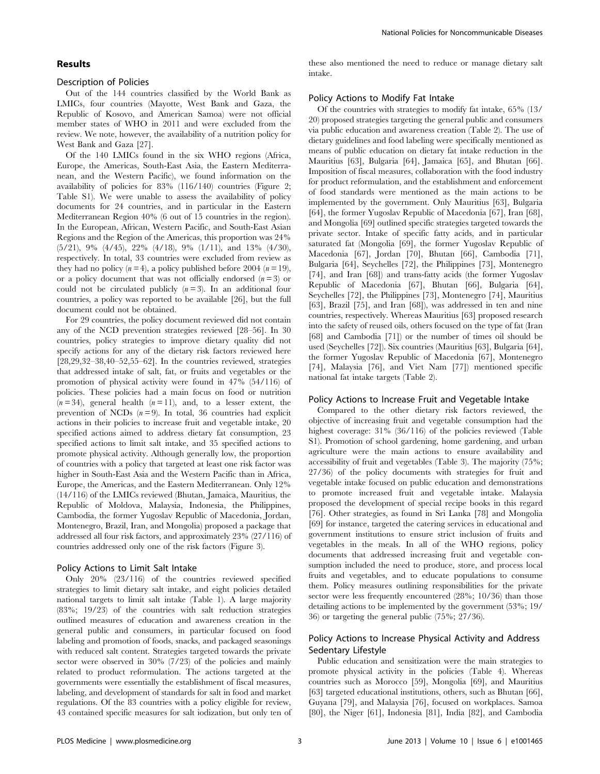## Results

## Description of Policies

Out of the 144 countries classified by the World Bank as LMICs, four countries (Mayotte, West Bank and Gaza, the Republic of Kosovo, and American Samoa) were not official member states of WHO in 2011 and were excluded from the review. We note, however, the availability of a nutrition policy for West Bank and Gaza [27].

Of the 140 LMICs found in the six WHO regions (Africa, Europe, the Americas, South-East Asia, the Eastern Mediterranean, and the Western Pacific), we found information on the availability of policies for 83% (116/140) countries (Figure 2; Table S1). We were unable to assess the availability of policy documents for 24 countries, and in particular in the Eastern Mediterranean Region 40% (6 out of 15 countries in the region). In the European, African, Western Pacific, and South-East Asian Regions and the Region of the Americas, this proportion was 24% (5/21), 9% (4/45), 22% (4/18), 9% (1/11), and 13% (4/30), respectively. In total, 33 countries were excluded from review as they had no policy  $(n = 4)$ , a policy published before 2004  $(n = 19)$ , or a policy document that was not officially endorsed  $(n=3)$  or could not be circulated publicly  $(n=3)$ . In an additional four countries, a policy was reported to be available [26], but the full document could not be obtained.

For 29 countries, the policy document reviewed did not contain any of the NCD prevention strategies reviewed [28–56]. In 30 countries, policy strategies to improve dietary quality did not specify actions for any of the dietary risk factors reviewed here [28,29,32–38,40–52,55–62]. In the countries reviewed, strategies that addressed intake of salt, fat, or fruits and vegetables or the promotion of physical activity were found in 47% (54/116) of policies. These policies had a main focus on food or nutrition  $(n=34)$ , general health  $(n=11)$ , and, to a lesser extent, the prevention of NCDs  $(n=9)$ . In total, 36 countries had explicit actions in their policies to increase fruit and vegetable intake, 20 specified actions aimed to address dietary fat consumption, 23 specified actions to limit salt intake, and 35 specified actions to promote physical activity. Although generally low, the proportion of countries with a policy that targeted at least one risk factor was higher in South-East Asia and the Western Pacific than in Africa, Europe, the Americas, and the Eastern Mediterranean. Only 12% (14/116) of the LMICs reviewed (Bhutan, Jamaica, Mauritius, the Republic of Moldova, Malaysia, Indonesia, the Philippines, Cambodia, the former Yugoslav Republic of Macedonia, Jordan, Montenegro, Brazil, Iran, and Mongolia) proposed a package that addressed all four risk factors, and approximately 23% (27/116) of countries addressed only one of the risk factors (Figure 3).

## Policy Actions to Limit Salt Intake

Only 20% (23/116) of the countries reviewed specified strategies to limit dietary salt intake, and eight policies detailed national targets to limit salt intake (Table 1). A large majority (83%; 19/23) of the countries with salt reduction strategies outlined measures of education and awareness creation in the general public and consumers, in particular focused on food labeling and promotion of foods, snacks, and packaged seasonings with reduced salt content. Strategies targeted towards the private sector were observed in 30% (7/23) of the policies and mainly related to product reformulation. The actions targeted at the governments were essentially the establishment of fiscal measures, labeling, and development of standards for salt in food and market regulations. Of the 83 countries with a policy eligible for review, 43 contained specific measures for salt iodization, but only ten of these also mentioned the need to reduce or manage dietary salt intake.

#### Policy Actions to Modify Fat Intake

Of the countries with strategies to modify fat intake, 65% (13/ 20) proposed strategies targeting the general public and consumers via public education and awareness creation (Table 2). The use of dietary guidelines and food labeling were specifically mentioned as means of public education on dietary fat intake reduction in the Mauritius [63], Bulgaria [64], Jamaica [65], and Bhutan [66]. Imposition of fiscal measures, collaboration with the food industry for product reformulation, and the establishment and enforcement of food standards were mentioned as the main actions to be implemented by the government. Only Mauritius [63], Bulgaria [64], the former Yugoslav Republic of Macedonia [67], Iran [68], and Mongolia [69] outlined specific strategies targeted towards the private sector. Intake of specific fatty acids, and in particular saturated fat (Mongolia [69], the former Yugoslav Republic of Macedonia [67], Jordan [70], Bhutan [66], Cambodia [71], Bulgaria [64], Seychelles [72], the Philippines [73], Montenegro [74], and Iran [68]) and trans-fatty acids (the former Yugoslav Republic of Macedonia [67], Bhutan [66], Bulgaria [64], Seychelles [72], the Philippines [73], Montenegro [74], Mauritius [63], Brazil [75], and Iran [68]), was addressed in ten and nine countries, respectively. Whereas Mauritius [63] proposed research into the safety of reused oils, others focused on the type of fat (Iran [68] and Cambodia [71]) or the number of times oil should be used (Seychelles [72]). Six countries (Mauritius [63], Bulgaria [64], the former Yugoslav Republic of Macedonia [67], Montenegro [74], Malaysia [76], and Viet Nam [77]) mentioned specific national fat intake targets (Table 2).

#### Policy Actions to Increase Fruit and Vegetable Intake

Compared to the other dietary risk factors reviewed, the objective of increasing fruit and vegetable consumption had the highest coverage:  $31\%$  (36/116) of the policies reviewed (Table S1). Promotion of school gardening, home gardening, and urban agriculture were the main actions to ensure availability and accessibility of fruit and vegetables (Table 3). The majority (75%; 27/36) of the policy documents with strategies for fruit and vegetable intake focused on public education and demonstrations to promote increased fruit and vegetable intake. Malaysia proposed the development of special recipe books in this regard [76]. Other strategies, as found in Sri Lanka [78] and Mongolia [69] for instance, targeted the catering services in educational and government institutions to ensure strict inclusion of fruits and vegetables in the meals. In all of the WHO regions, policy documents that addressed increasing fruit and vegetable consumption included the need to produce, store, and process local fruits and vegetables, and to educate populations to consume them. Policy measures outlining responsibilities for the private sector were less frequently encountered (28%; 10/36) than those detailing actions to be implemented by the government (53%; 19/ 36) or targeting the general public (75%; 27/36).

## Policy Actions to Increase Physical Activity and Address Sedentary Lifestyle

Public education and sensitization were the main strategies to promote physical activity in the policies (Table 4). Whereas countries such as Morocco [59], Mongolia [69], and Mauritius [63] targeted educational institutions, others, such as Bhutan [66], Guyana [79], and Malaysia [76], focused on workplaces. Samoa [80], the Niger [61], Indonesia [81], India [82], and Cambodia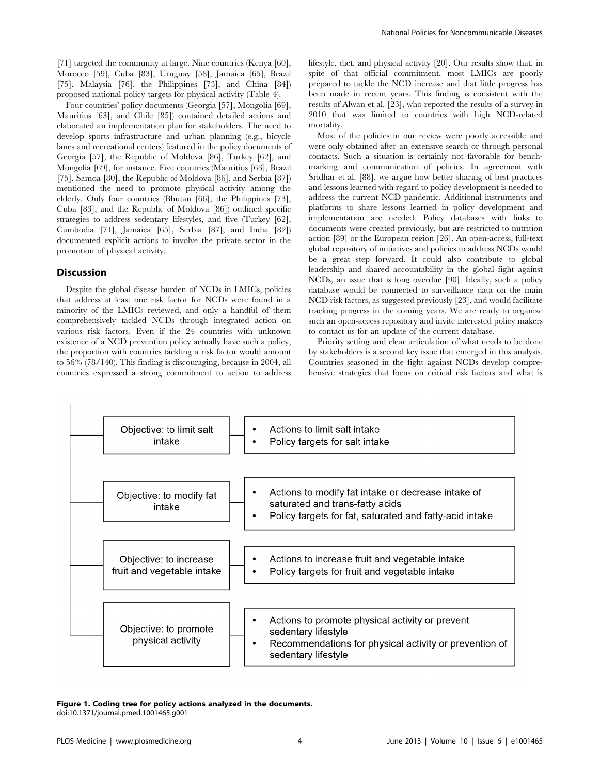[71] targeted the community at large. Nine countries (Kenya [60], Morocco [59], Cuba [83], Uruguay [58], Jamaica [65], Brazil [75], Malaysia [76], the Philippines [73], and China [84]) proposed national policy targets for physical activity (Table 4).

Four countries' policy documents (Georgia [57], Mongolia [69], Mauritius [63], and Chile [85]) contained detailed actions and elaborated an implementation plan for stakeholders. The need to develop sports infrastructure and urban planning (e.g., bicycle lanes and recreational centers) featured in the policy documents of Georgia [57], the Republic of Moldova [86], Turkey [62], and Mongolia [69], for instance. Five countries (Mauritius [63], Brazil [75], Samoa [80], the Republic of Moldova [86], and Serbia [87]) mentioned the need to promote physical activity among the elderly. Only four countries (Bhutan [66], the Philippines [73], Cuba [83], and the Republic of Moldova [86]) outlined specific strategies to address sedentary lifestyles, and five (Turkey [62], Cambodia [71], Jamaica [65], Serbia [87], and India [82]) documented explicit actions to involve the private sector in the promotion of physical activity.

## Discussion

Despite the global disease burden of NCDs in LMICs, policies that address at least one risk factor for NCDs were found in a minority of the LMICs reviewed, and only a handful of them comprehensively tackled NCDs through integrated action on various risk factors. Even if the 24 countries with unknown existence of a NCD prevention policy actually have such a policy, the proportion with countries tackling a risk factor would amount to 56% (78/140). This finding is discouraging, because in 2004, all countries expressed a strong commitment to action to address lifestyle, diet, and physical activity [20]. Our results show that, in spite of that official commitment, most LMICs are poorly prepared to tackle the NCD increase and that little progress has been made in recent years. This finding is consistent with the results of Alwan et al. [23], who reported the results of a survey in 2010 that was limited to countries with high NCD-related mortality.

Most of the policies in our review were poorly accessible and were only obtained after an extensive search or through personal contacts. Such a situation is certainly not favorable for benchmarking and communication of policies. In agreement with Sridhar et al. [88], we argue how better sharing of best practices and lessons learned with regard to policy development is needed to address the current NCD pandemic. Additional instruments and platforms to share lessons learned in policy development and implementation are needed. Policy databases with links to documents were created previously, but are restricted to nutrition action [89] or the European region [26]. An open-access, full-text global repository of initiatives and policies to address NCDs would be a great step forward. It could also contribute to global leadership and shared accountability in the global fight against NCDs, an issue that is long overdue [90]. Ideally, such a policy database would be connected to surveillance data on the main NCD risk factors, as suggested previously [23], and would facilitate tracking progress in the coming years. We are ready to organize such an open-access repository and invite interested policy makers to contact us for an update of the current database.

Priority setting and clear articulation of what needs to be done by stakeholders is a second key issue that emerged in this analysis. Countries seasoned in the fight against NCDs develop comprehensive strategies that focus on critical risk factors and what is



Figure 1. Coding tree for policy actions analyzed in the documents. doi:10.1371/journal.pmed.1001465.g001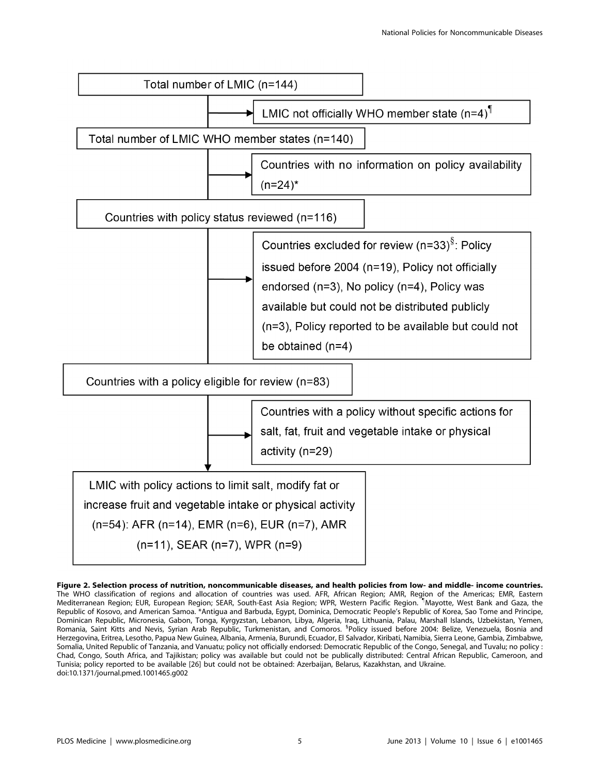

Figure 2. Selection process of nutrition, noncommunicable diseases, and health policies from low- and middle- income countries. The WHO classification of regions and allocation of countries was used. AFR, African Region; AMR, Region of the Americas; EMR, Eastern<br>Mediterranean Region; EUR, European Region; SEAR, South-East Asia Region; WPR, Western Republic of Kosovo, and American Samoa. \*Antigua and Barbuda, Egypt, Dominica, Democratic People's Republic of Korea, Sao Tome and Principe, Dominican Republic, Micronesia, Gabon, Tonga, Kyrgyzstan, Lebanon, Libya, Algeria, Iraq, Lithuania, Palau, Marshall Islands, Uzbekistan, Yemen,<br>Romania, Saint Kitts and Nevis, Syrian Arab Republic, Turkmenistan, and Comoro Herzegovina, Eritrea, Lesotho, Papua New Guinea, Albania, Armenia, Burundi, Ecuador, El Salvador, Kiribati, Namibia, Sierra Leone, Gambia, Zimbabwe, Somalia, United Republic of Tanzania, and Vanuatu; policy not officially endorsed: Democratic Republic of the Congo, Senegal, and Tuvalu; no policy : Chad, Congo, South Africa, and Tajikistan; policy was available but could not be publically distributed: Central African Republic, Cameroon, and Tunisia; policy reported to be available [26] but could not be obtained: Azerbaijan, Belarus, Kazakhstan, and Ukraine. doi:10.1371/journal.pmed.1001465.g002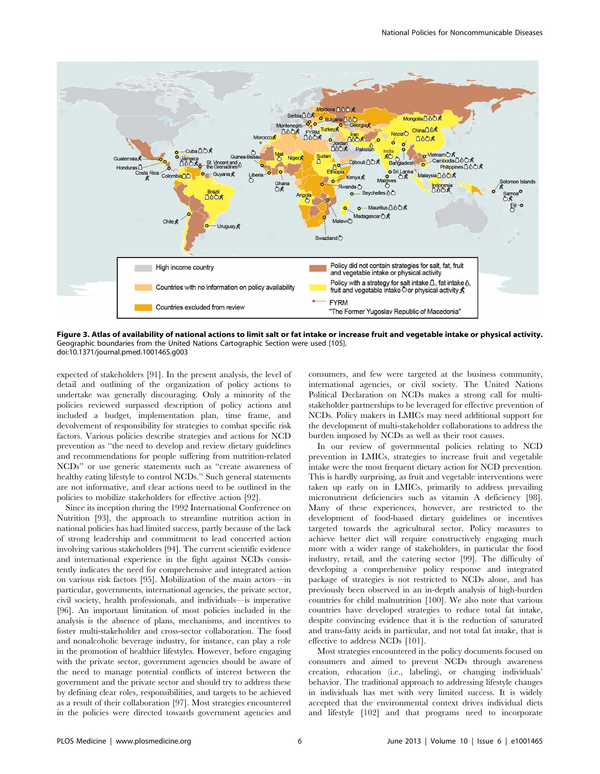

Figure 3. Atlas of availability of national actions to limit salt or fat intake or increase fruit and vegetable intake or physical activity. Geographic boundaries from the United Nations Cartographic Section were used [105]. doi:10.1371/journal.pmed.1001465.g003

expected of stakeholders [91]. In the present analysis, the level of detail and outlining of the organization of policy actions to undertake was generally discouraging. Only a minority of the policies reviewed surpassed description of policy actions and included a budget, implementation plan, time frame, and devolvement of responsibility for strategies to combat specific risk factors. Various policies describe strategies and actions for NCD prevention as ''the need to develop and review dietary guidelines and recommendations for people suffering from nutrition-related NCDs'' or use generic statements such as ''create awareness of healthy eating lifestyle to control NCDs.'' Such general statements are not informative, and clear actions need to be outlined in the policies to mobilize stakeholders for effective action [92].

Since its inception during the 1992 International Conference on Nutrition [93], the approach to streamline nutrition action in national policies has had limited success, partly because of the lack of strong leadership and commitment to lead concerted action involving various stakeholders [94]. The current scientific evidence and international experience in the fight against NCDs consistently indicates the need for comprehensive and integrated action on various risk factors [95]. Mobilization of the main actors—in particular, governments, international agencies, the private sector, civil society, health professionals, and individuals—is imperative [96]. An important limitation of most policies included in the analysis is the absence of plans, mechanisms, and incentives to foster multi-stakeholder and cross-sector collaboration. The food and nonalcoholic beverage industry, for instance, can play a role in the promotion of healthier lifestyles. However, before engaging with the private sector, government agencies should be aware of the need to manage potential conflicts of interest between the government and the private sector and should try to address these by defining clear roles, responsibilities, and targets to be achieved as a result of their collaboration [97]. Most strategies encountered in the policies were directed towards government agencies and consumers, and few were targeted at the business community, international agencies, or civil society. The United Nations Political Declaration on NCDs makes a strong call for multistakeholder partnerships to be leveraged for effective prevention of NCDs. Policy makers in LMICs may need additional support for the development of multi-stakeholder collaborations to address the burden imposed by NCDs as well as their root causes.

In our review of governmental policies relating to NCD prevention in LMICs, strategies to increase fruit and vegetable intake were the most frequent dietary action for NCD prevention. This is hardly surprising, as fruit and vegetable interventions were taken up early on in LMICs, primarily to address prevailing micronutrient deficiencies such as vitamin A deficiency [98]. Many of these experiences, however, are restricted to the development of food-based dietary guidelines or incentives targeted towards the agricultural sector. Policy measures to achieve better diet will require constructively engaging much more with a wider range of stakeholders, in particular the food industry, retail, and the catering sector [99]. The difficulty of developing a comprehensive policy response and integrated package of strategies is not restricted to NCDs alone, and has previously been observed in an in-depth analysis of high-burden countries for child malnutrition [100]. We also note that various countries have developed strategies to reduce total fat intake, despite convincing evidence that it is the reduction of saturated and trans-fatty acids in particular, and not total fat intake, that is effective to address NCDs [101].

Most strategies encountered in the policy documents focused on consumers and aimed to prevent NCDs through awareness creation, education (i.e., labeling), or changing individuals' behavior. The traditional approach to addressing lifestyle changes in individuals has met with very limited success. It is widely accepted that the environmental context drives individual diets and lifestyle [102] and that programs need to incorporate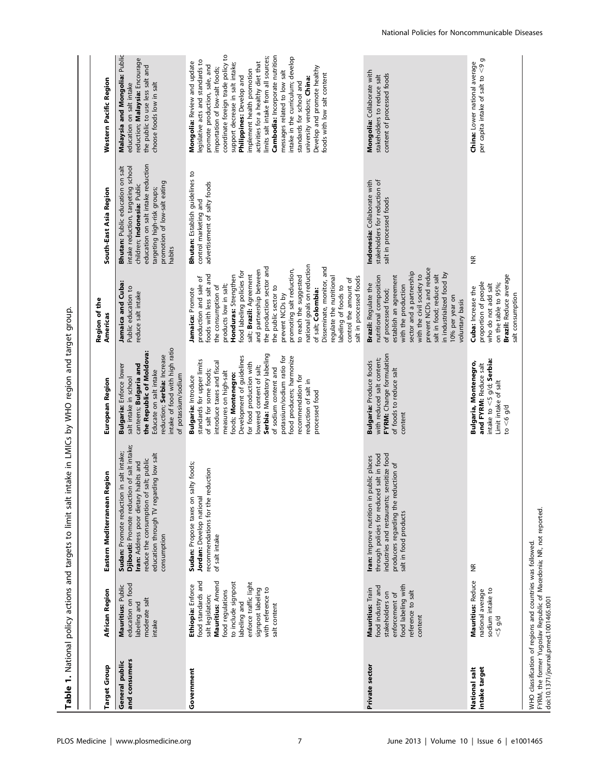| ,<br>D<br>D                |
|----------------------------|
|                            |
|                            |
|                            |
|                            |
| ・・・・・・ ヘン ついこう             |
|                            |
| :<br>:<br>:<br>:<br>:<br>: |
|                            |
| $-2 + 1 - 1 - 1 = 2$       |
|                            |
|                            |
|                            |
|                            |
|                            |
| Ï                          |
|                            |
| Table                      |

| <b>Target Group</b>             | African Region                                                                                                                                                                                                                 | Eastern Mediterranean Region                                                                                                                                                                                                               | European Region                                                                                                                                                                                                                                                                                                                                                                                                                         | Region of the<br>Americas                                                                                                                                                                                                                                                                                                                                                                                                                                                                                                                                  | South-East Asia Region                                                                                                                                                                                                      | Western Pacific Region                                                                                                                                                                                                                                                                                                                                                                                                                                                                                                                                                               |
|---------------------------------|--------------------------------------------------------------------------------------------------------------------------------------------------------------------------------------------------------------------------------|--------------------------------------------------------------------------------------------------------------------------------------------------------------------------------------------------------------------------------------------|-----------------------------------------------------------------------------------------------------------------------------------------------------------------------------------------------------------------------------------------------------------------------------------------------------------------------------------------------------------------------------------------------------------------------------------------|------------------------------------------------------------------------------------------------------------------------------------------------------------------------------------------------------------------------------------------------------------------------------------------------------------------------------------------------------------------------------------------------------------------------------------------------------------------------------------------------------------------------------------------------------------|-----------------------------------------------------------------------------------------------------------------------------------------------------------------------------------------------------------------------------|--------------------------------------------------------------------------------------------------------------------------------------------------------------------------------------------------------------------------------------------------------------------------------------------------------------------------------------------------------------------------------------------------------------------------------------------------------------------------------------------------------------------------------------------------------------------------------------|
| and consumers<br>General public | education on food<br>Mauritius: Public<br>moderate salt<br>labeling and<br>intake                                                                                                                                              | Djibouti: Promote reduction of salt intake;<br>in salt intake;<br>education through TV regarding low salt<br>salt; public<br>Iran: Address poor dietary habits and<br>Sudan: Promote reduction<br>reduce the consumption of<br>consumption | intake of food with high ratio<br>the Republic of Moldova:<br>reduction; Serbia: Increase<br>canteens; Bulgaria and<br><b>Bulgaria:</b> Enforce lower<br>Educate on salt intake<br>of potassium/sodium<br>salt intake in school                                                                                                                                                                                                         | Jamaica and Cuba:<br>Public education to<br>reduce salt intake                                                                                                                                                                                                                                                                                                                                                                                                                                                                                             | education on salt intake reduction<br>intake reduction, targeting school<br><b>Bhutan: Public education on salt</b><br>promotion of low-salt eating<br>children; Indonesia: Public<br>targeting high-risk groups;<br>habits | Malaysia and Mongolia: Public<br>reduction; Malaysia: Encourage<br>the public to use less salt and<br>choose foods low in salt<br>education on salt intake                                                                                                                                                                                                                                                                                                                                                                                                                           |
| Government                      | food standards and<br>Mauritius: Amend<br>to include signpost<br>enforce traffic light<br>Ethiopia: Enforce<br>signpost labeling<br>with reference to<br>food regulations<br>salt legislation;<br>labeling and<br>salt content | Sudan: Propose taxes on salty foods;<br>recommendations for the reduction<br>Jordan: Develop national<br>of salt intake                                                                                                                    | Serbia: Mandatory labeling<br>Development of guidelines<br>food producers; harmonize<br>potassium/sodium ratio for<br>standards for upper limits<br>introduce taxes and fiscal<br>for food production with<br>lowered content of salt;<br>of sodium content and<br>of salt for some foods;<br>measures on high-salt<br>foods; Montenegro:<br><b>Bulgaria:</b> Introduce<br>recommendation for<br>reduction of salt in<br>processed food | national goals on reduction<br>the production sector and<br>Disseminate, monitor, and<br>promoting salt reduction,<br>and partnership between<br>food labeling policies for<br>foods with less salt and<br>salt; Brazil: Agreement<br>Honduras: Strengthen<br>to reach the suggested<br>salt in processed foods<br>production and sale of<br>regulate the nutritional<br>control the amount of<br>products low in salt;<br>the consumption of<br>labeling of foods to<br>the public sector to<br>Jamaica: Promote<br>of salt; Colombia:<br>prevent NCDs by | <b>Bhutan:</b> Establish guidelines to<br>advertisement of salty foods<br>control marketing and                                                                                                                             | coordinate foreign trade policy to<br>Cambodia: Incorporate nutrition<br>limits salt intake from all sources;<br>intake in the curriculum; develop<br>legislative acts and standards to<br>Mongolia: Review and update<br>activities for a healthy diet that<br>support decrease in salt intake;<br>promote production, sale, and<br>Develop and promote healthy<br>mportation of low-salt foods;<br>implement health promotion<br>messages related to low salt<br>foods with low salt content<br>Philippines: Develop and<br>university vendors; China:<br>standards for school and |
| Private sector                  | food labeling with<br>food industry and<br>Mauritius: Train<br>reference to salt<br>stakeholders on<br>enforcement of<br>content                                                                                               | industries and restaurants; sensitize food<br>through policies for reduced salt in food<br>Iran: Improve nutrition in public places<br>producers regarding the reduction of<br>salt in food products                                       | FYRM: Change formulation<br>with reduced salt content;<br><b>Bulgaria: Produce foods</b><br>of foods to reduce salt<br>content                                                                                                                                                                                                                                                                                                          | prevent NCDs and reduce<br>sector and a partnership<br>in industrialized food by<br>salt in food; reduce salt<br>with the civil society to<br>establish an agreement<br>nutritional composition<br>Brazil: Regulate the<br>with the production<br>of processed food;<br>10% per year on<br>voluntary basis                                                                                                                                                                                                                                                 | Indonesia: Collaborate with<br>stakeholders for reduction of<br>salt in processed foods                                                                                                                                     | Mongolia: Collaborate with<br>content of processed foods<br>stakeholders to reduce salt                                                                                                                                                                                                                                                                                                                                                                                                                                                                                              |
| intake target<br>National salt  | Mauritius: Reduce<br>sodium intake to<br>national average<br>$<$ 5 g/d                                                                                                                                                         | $\widetilde{\Xi}$                                                                                                                                                                                                                          | intake to $<$ 5 $g/d$ ; Serbia:<br>Bulgaria, Montenegro,<br>and FYRM: Reduce salt<br>Limit intake of salt<br>$\log 9 < 0$                                                                                                                                                                                                                                                                                                               | Brazil: Reduce average<br>proportion of people<br>who do not add salt<br>on the table to 95%;<br><b>Cuba:</b> Increase the<br>salt consumption                                                                                                                                                                                                                                                                                                                                                                                                             | $\frac{\kappa}{2}$                                                                                                                                                                                                          | ס<br>China: Lower national average<br>per capita intake of salt to $\leq$ 9                                                                                                                                                                                                                                                                                                                                                                                                                                                                                                          |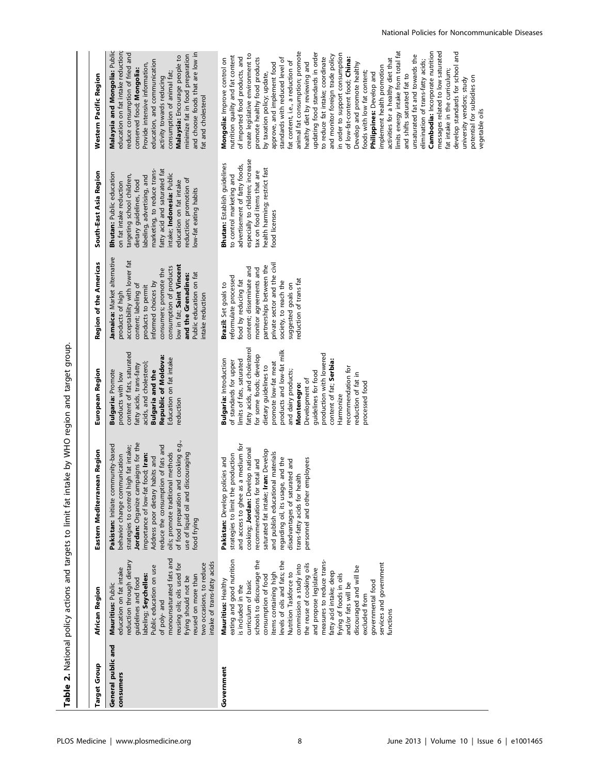Malaysia and Mongolia: Public education on fat intake reduction; and choose foods that are low in animal fat consumption; promote animal fat consumption; promote limits energy intake from total fat Cambodia: Incorporate nutrition messages related to low saturated messages related to low saturated reduce consumption of fried and minimize fat in food preparation and choose foods that are low in create legislative environment to updating food standards in order updating food standards in order in order to support consumption limits energy intake from total fat Cambodia: Incorporate nutrition develop standards for school and develop standards for school and Malaysia and Mongolia: Publi education on fat intake reduction reduce consumption of fried and Malaysia: Encourage people to create legislative environment to and monitor foreign trade policy and monitor foreign trade policy in order to support consumption unsaturated fat and towards the minimize fat in food preparation nutrition quality and fat content nutrition quality and fat content of imported food products, and unsaturated fat and towards the Malaysia: Encourage people to Mongolia: Improve control on promote healthy food products standards with reduced level of to reduce fat intake; coordinate of low-fat-content food; China: of imported food products, and promote healthy food products standards with reduced level of to reduce fat intake; coordinate of low-fat-content food; China: activities for a healthy diet that education, and communication Mongolia: Improve control on fat content, i.e., a reduction of activities for a healthy diet that elimination of trans-fatty acids; education, and communication Develop and promote healthy elimination of trans-fatty acids; approve, and implement food fat content, i.e., a reduction of healthy diet by reviewing and Develop and promote healthy Provide intensive information, Provide intensive information, approve, and implement food healthy diet by reviewing and implement health promotion implement health promotion conserved food; Mongolia: fat intake in the curriculum; conserved food; Mongolia: consumption of animal fat; foods with low fat content; fat intake in the curriculum; foods with low fat content; consumption of animal fat; by taxation policy; update, Philippines: Develop and **Western Pacific Region** by taxation policy; update, Philippines: Develop and and shifts saturated fat to Target Group African Region Eastern Mediterranean Region European Region Region of the Americas South-East Asia Region Western Pacific Region and shifts saturated fat to activity towards reducing activity towards reducing university vendors; study university vendors; study fat and cholesterol fat and cholesterol especially to children; increase especially to children; increase **Bhutan:** Establish guidelines<br>to control marketing and Bhutan: Establish guidelines advertisement of fatty foods, advertisement of fatty foods, nealth harming; restrict fast health harming; restrict fast marketing, to reduce transmarketing, to reduce transfatty acid and saturated fat fatty acid and saturated fat tax on food items that are South-East Asia Region **Bhutan: Public education** ntake; Indonesia: Public tax on food items that are Bhutan: Public education targeting school children, intake; Indonesia: Public targeting school children, labeling, advertising, and to control marketing and labeling, advertising, and reduction; promotion of reduction; promotion of dietary quidelines, food education on fat intake on fat intake reduction dietary guidelines, food education on fat intake on fat intake reduction ow-fat eating habits low-fat eating habits ood licenses food licenses Jamaica: Market alternative Jamaica: Market alternative acceptability with lower fat acceptability with lower fat **Region of the Americas** private sector and the civil private sector and the civil low in fat; Saint Vincent consumption of products ow in fat; Saint Vincent partnerships between the partnerships between the consumption of products content; disseminate and content; disseminate and monitor agreements and monitor agreements and consumers; promote the consumers; promote the and the Grenadines: Public education on fat Public education on fat and the Grenadines: reformulate processed reformulate processed food by reducing fat eduction of trans fat reduction of trans fat informed choices by Brazil: Set goals to food by reducing fat society, to reach the content; labeling of informed choices by society, to reach the suggested goals on content; labeling of products to permit Brazil: Set goals to suggested goals on products to permit products of high products of high ntake reduction intake reduction fatty acids, and cholesterol fatty acids, and cholesterol products and low-fat milk products and low-fat milk content of fats, saturated content of fats, saturated production with lowered for some foods; develop production with lowered Republic of Moldova: Republic of Moldova: for some foods; develop Education on fat intake Education on fat intake **Bulgaria: Introduction** limits of fats, saturated Bulgaria: Introduction of standards for upper content of fat; Serbia: of standards for upper limits of fats, saturated content of fat; Serbia: acids, and cholesterol; promote low-fat meat fatty acids, trans-fatty acids, and cholesterol; dietary guidelines to promote low-fat meat fatty acids, trans-fatty recommendation for dietary guidelines to recommendation for European Region **Bulgaria: Promote Bulgaria and the** and dairy products; guidelines for food Bulgaria: Promote and dairy products; products with low Bulgaria and the guidelines for food reduction of fat in products with low reduction of fat in Development of Development of processed food Montenegro: processed food Montenegro: Harmonize Harmonize reduction of food preparation and cooking e.g., Pakistan: Initiate community-based Jordan: Organize campaigns for the Jordan: Organize campaigns for the reduce the consumption of fats and of food preparation and cooking e.g. Pakistan: Initiate community-based and access to ghee as a medium for and access to ghee as a medium for strategies to control high fat intake; strategies to control high fat intake; reduce the consumption of fats and cooking; Jordan: Develop national cooking; Jordan: Develop national Eastern Mediterranean Region saturated fat intake; Iran: Develop saturated fat intake; Iran: Develop oils; promote traditional methods use of liquid oil and discouraging importance of low-fat food; Iran: and publish educational materials behavior change communication importance of low-fat food; Iran: oils; promote traditional methods use of liquid oil and discouraging **Pakistan:** Develop policies and<br>strategies to limit the production and publish educational materials strategies to limit the production behavior change communication Address poor dietary habits and personnel and other employees Address poor dietary habits and Pakistan: Develop policies and recommendations for total and regarding oil, its usage, and the regarding oil, its usage, and the disadvantages of saturated and personnel and other employees disadvantages of saturated and recommendations for total and trans-fatty acids for health trans-fatty acids for health food frying monounsaturated fats and monounsaturated fats and eating and good nutrition reduction through dietary reduction through dietary eating and good nutrition schools to discourage the schools to discourage the evels of oils and fats; the measures to reduce transreusing oils; oils used for two occasions, to reduce ntake of trans-fatty acids levels of oils and fats; the the reuse of cooking oils measures to reduce trans services and government reusing oils; oils used for two occasions, to reduce intake of trans-fatty acids services and government Public education on use commission a study into commission a study into the reuse of cooking oils Public education on use discouraged and will be education on fat intake and propose legislative discouraged and will be education on fat intake and propose legislative fatty acid intake; deep abeling; Seychelles: reused on more than Nutrition Taskforce to fatty acid intake; deep frying of foods in oils rying should not be consumption of food items containing high tems containing high Nutrition Taskforce to labeling; Seychelles: frying of foods in oils reused on more than consumption of food guidelines and food frying should not be Mauritius: Healthy guidelines and food governmental food Government Mauritius: Healthy curriculum of basic and/or fats will be governmental food curriculum of basic and/or fats will be Mauritius: Public Mauritius: Public s included in the is included in the African Region excluded from excluded from of poly- and of poly- and functions General public and General public and **Target Group** Government consumers consumers

potential for subsidies on vegetable oils

vegetable oils

potential for subsidies on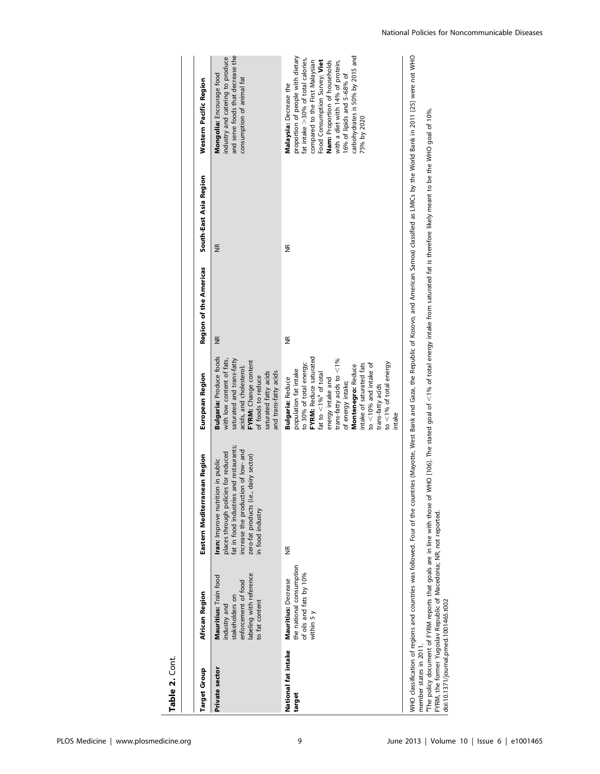| Table 2. Cont.                                                  |                                                                                                                              |                                                                                                                                                                                                                                                                                                                                                                                                                                                     |                                                                                                                                                                                                                                                                                                                                                                     |                        |                        |                                                                                                                                                                                                                                                                                                                             |
|-----------------------------------------------------------------|------------------------------------------------------------------------------------------------------------------------------|-----------------------------------------------------------------------------------------------------------------------------------------------------------------------------------------------------------------------------------------------------------------------------------------------------------------------------------------------------------------------------------------------------------------------------------------------------|---------------------------------------------------------------------------------------------------------------------------------------------------------------------------------------------------------------------------------------------------------------------------------------------------------------------------------------------------------------------|------------------------|------------------------|-----------------------------------------------------------------------------------------------------------------------------------------------------------------------------------------------------------------------------------------------------------------------------------------------------------------------------|
|                                                                 |                                                                                                                              |                                                                                                                                                                                                                                                                                                                                                                                                                                                     |                                                                                                                                                                                                                                                                                                                                                                     |                        |                        |                                                                                                                                                                                                                                                                                                                             |
| <b>Target Group</b>                                             | African Region                                                                                                               | Eastern Mediterranean Region                                                                                                                                                                                                                                                                                                                                                                                                                        | European Region                                                                                                                                                                                                                                                                                                                                                     | Region of the Americas | South-East Asia Region | Western Pacific Region                                                                                                                                                                                                                                                                                                      |
| Private sector                                                  | labeling with reference<br>Mauritius: Train food<br>enforcement of food<br>stakeholders on<br>to fat content<br>industry and | fat in food industries and restaurants;<br>of low- and<br>places through policies for reduced<br>zero-fat products (i.e., dairy sector)<br>Iran: Improve nutrition in public<br>increase the production<br>in food industry                                                                                                                                                                                                                         | <b>Bulgaria: Produce foods</b><br>with low content of fats,<br>saturated and trans-fatty<br>FYRM: Change content<br>acids, and cholesterol;<br>saturated fatty acids<br>and trans-fatty acids<br>of foods to reduce                                                                                                                                                 | $\widetilde{\Xi}$      | $\widetilde{\Xi}$      | and serve foods that decrease the<br>industry and catering to produce<br>Mongolia: Encourage food<br>consumption of animal fat                                                                                                                                                                                              |
| National fat intake<br>target                                   | the national consumption<br>of oils and fats by 10%<br>Mauritius: Decrease<br>within 5 y                                     | €                                                                                                                                                                                                                                                                                                                                                                                                                                                   | FYRM: Reduce saturated<br>trans-fatty acids to $<$ 1%<br>to <1% of total energy<br>intake of saturated fats<br>to $<$ 10% and intake of<br>to 30% of total energy;<br>Montenegro: Reduce<br>population fat intake<br>fat to $\langle 1\%$ <sup>a</sup> of total<br><b>Bulgaria: Reduce</b><br>energy intake and<br>of energy intake;<br>trans-fatty acids<br>intake | ¥                      | €                      | proportion of people with dietary<br>carbohydrates is 50% by 2015 and<br>fat intake >30% of total calories,<br>Food Consumption Survey; Viet<br>compared to the First Malaysian<br>Nam: Proportion of households<br>with a diet with 14% of protein,<br>16% of lipids and 5-68% of<br>Malaysia: Decrease the<br>75% by 2020 |
| doi:10.1371/journal.pmed.1001465.t002<br>member states in 2011. | FYRM, the former Yugoslav Republic of Macedonia; NR, not reported.                                                           | WHO classification of regions and countries was followed. Four of the countries (Mayotte, West Bank and Gaza, the Republic of Kosovo, and American Samoa) classified as LMICs by the World Bank in 2011 [25] were not WHO<br><sup>a</sup> The policy document of FYRM reports that goals are in line with those of WHO [106]. The stated goal of <1% of total energy intake from saturated fat is therefore likely meant to be the WHO goal of 10%. |                                                                                                                                                                                                                                                                                                                                                                     |                        |                        |                                                                                                                                                                                                                                                                                                                             |

j.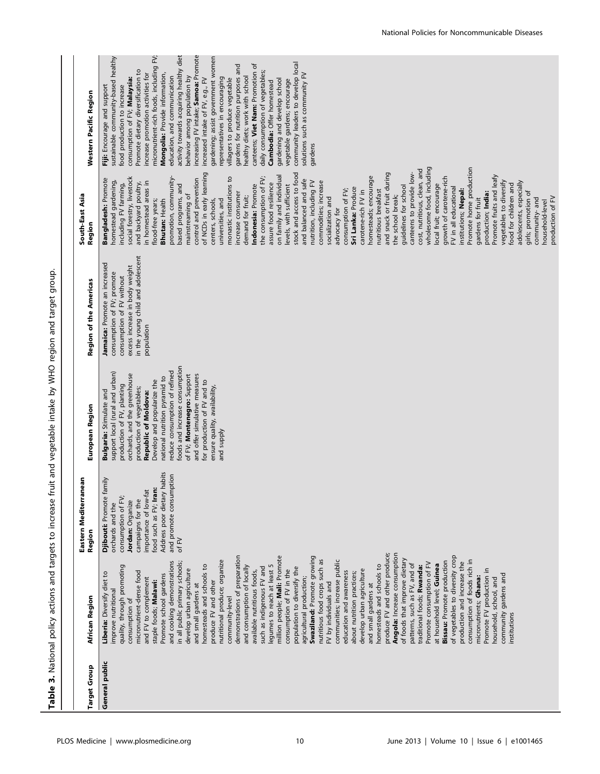Table 3. National policy actions and targets to increase fruit and vegetable intake by WHO region and target group. Table 3. National policy actions and targets to increase fruit and vegetable intake by WHO region and target group.

| <b>Target Group</b> | African Region                                                                                                                                                                                                                                                                                                                                                                                                                                                                                                                                                                                                                                                                                                                                                                                                                                                                                                                                                                                                                                                                                                                                                                                                                                                                                                                                                                                                                                                                         | Eastern Mediterranean<br>Region                                                                                                                                                                                                      | European Region                                                                                                                                                                                                                                                                                                                                                                                                                                                     | Region of the Americas                                                                                                                                                        | South-East Asia<br>Region                                                                                                                                                                                                                                                                                                                                                                                                                                                                                                                                                                                                                                                                                                                                                                                                                                                                                                                                                                                                                                                                                                                                                                                                                                                                                                                                                                   | <b>Western Pacific Region</b>                                                                                                                                                                                                                                                                                                                                                                                                                                                                                                                                                                                                                                                                                                                                                                                                                                                                                               |
|---------------------|----------------------------------------------------------------------------------------------------------------------------------------------------------------------------------------------------------------------------------------------------------------------------------------------------------------------------------------------------------------------------------------------------------------------------------------------------------------------------------------------------------------------------------------------------------------------------------------------------------------------------------------------------------------------------------------------------------------------------------------------------------------------------------------------------------------------------------------------------------------------------------------------------------------------------------------------------------------------------------------------------------------------------------------------------------------------------------------------------------------------------------------------------------------------------------------------------------------------------------------------------------------------------------------------------------------------------------------------------------------------------------------------------------------------------------------------------------------------------------------|--------------------------------------------------------------------------------------------------------------------------------------------------------------------------------------------------------------------------------------|---------------------------------------------------------------------------------------------------------------------------------------------------------------------------------------------------------------------------------------------------------------------------------------------------------------------------------------------------------------------------------------------------------------------------------------------------------------------|-------------------------------------------------------------------------------------------------------------------------------------------------------------------------------|---------------------------------------------------------------------------------------------------------------------------------------------------------------------------------------------------------------------------------------------------------------------------------------------------------------------------------------------------------------------------------------------------------------------------------------------------------------------------------------------------------------------------------------------------------------------------------------------------------------------------------------------------------------------------------------------------------------------------------------------------------------------------------------------------------------------------------------------------------------------------------------------------------------------------------------------------------------------------------------------------------------------------------------------------------------------------------------------------------------------------------------------------------------------------------------------------------------------------------------------------------------------------------------------------------------------------------------------------------------------------------------------|-----------------------------------------------------------------------------------------------------------------------------------------------------------------------------------------------------------------------------------------------------------------------------------------------------------------------------------------------------------------------------------------------------------------------------------------------------------------------------------------------------------------------------------------------------------------------------------------------------------------------------------------------------------------------------------------------------------------------------------------------------------------------------------------------------------------------------------------------------------------------------------------------------------------------------|
| General public      | produce FV and other produce;<br>Angola: Increase consumption<br>of vegetables to diversity crop<br>demonstrations of preparation<br>million people; Mali: Promote<br>Swaziland: Promote growing<br>of foods that improve dietary<br>nutritious food crops such as<br>communities; increase public<br>consumption of foods rich in<br>nutritional produce; organize<br>and cooking demonstrations<br><b>Bissau:</b> Promote production<br>production and increase the<br>in all public primary schools;<br>Promote consumption of FV<br>patterns, such as FV, and of<br>homesteads and schools to<br>at household level; Guinea<br>homesteads and schools to<br>and consumption of locally<br>legumes to reach at least 5<br>traditional foods; Rwanda:<br>quality, through promoting<br>such as indigenous FV and<br>population to diversify the<br>develop urban agriculture<br>consumption of FV in the<br>develop urban agriculture<br>Promote FV production in<br>available nutritious foods,<br>education and awareness<br>micronutrient-dense food<br>Liberia: Diversify diet to<br>about nutrition practices;<br>community gardens and<br>Promote school gardens<br>micronutrients; Ghana:<br>agricultural production;<br>and FV to complement<br>household, school, and<br>staple foods; Malawi:<br>produce FV and other<br>FV by individuals and<br>and small gardens at<br>and small gardens at<br>improve nutritional<br>community-level<br>consumption of<br>institutions | Address poor dietary habits<br>and promote consumption<br>family<br>food such as FV; Iran:<br>importance of low-fat<br>Djibouti: Promote<br>consumption of FV;<br>campaigns for the<br>Jordan: Organize<br>orchards and the<br>of FV | foods and increase consumption<br>reduce consumption of refined<br>support local (rural and urban)<br>orchards, and the greenhouse<br>of FV; Montenegro: Support<br>and offer simulative measures<br>national nutrition pyramid to<br>Develop and popularize the<br>for production of FV and to<br>production of FV, planting<br>ensure quality, availability,<br>production of vegetables;<br><b>Bulgaria: Stimulate and</b><br>Republic of Moldova:<br>and supply | in the young child and adolescent<br>Jamaica: Promote an increased<br>excess increase in body weight<br>consumption of FV; promote<br>consumption of FV without<br>population | wholesome food, including<br>Promote home production<br>cost, nutritious, clean, and<br>of NCDs in early learning<br>stock and access to food<br>and snack or fruit during<br>canteens to provide low-<br>on family and individual<br>Promote fruits and leafy<br>the consumption of FV;<br>homesteads; encourage<br>monastic institutions to<br>growth of carotene-rich<br>social forestry, livestock<br>promotion, community-<br>control and prevention<br>Bangladesh: Promote<br>and balanced and safe<br>vegetables to diversify<br>adolescents, especially<br>homestead gardening,<br>in homestead areas in<br>nutrition, including FV<br>commodities; increase<br>and backyard poultry,<br>assure food resilience<br>including FV farming,<br>based programs, and<br>levels, with sufficient<br>food for children and<br>Indonesia: Promote<br>local fruit; encourage<br>guidelines for school<br>Sri Lanka: Produce<br>FV in all educational<br>consumption of FV;<br>institutions; Nepal:<br>nutritious breakfast<br>carotene-rich FV in<br>girls; promotion of<br>increase consumer<br>production; India:<br>mainstreaming of<br>the school break;<br>demand for fruit;<br>socialization and<br>production of FV<br>community- and<br>centers, schools,<br>flood-free years;<br><b>Bhutan: Health</b><br>gardens for fruit<br>universities, and<br>household-level<br>advocacy for | micronutrient-rich foods, including FV;<br>activity towards acquiring healthy diet<br>increasing FV intake; Samoa: Promote<br>gardening; assist government women<br>sustainable community-based healthy<br>community leaders to develop local<br>canteens; Viet Nam: Promotion of<br>gardens for nutrition purposes and<br>Promote dietary diversification to<br>daily consumption of vegetables;<br>Mongolia: Provide information,<br>solutions such as community FV<br>increase promotion activities for<br>healthy diets; work with school<br>behavior among population by<br>education, and communication<br>representatives in encouraging<br>consumption of FV; Malaysia:<br>increased intake of FV, e.g., FV<br>villagers to produce vegetable<br>vegetable gardens; encourage<br>gardening and develop school<br>Cambodia: Offer homestead<br>Fiji: Encourage and support<br>food production to increase<br>gardens |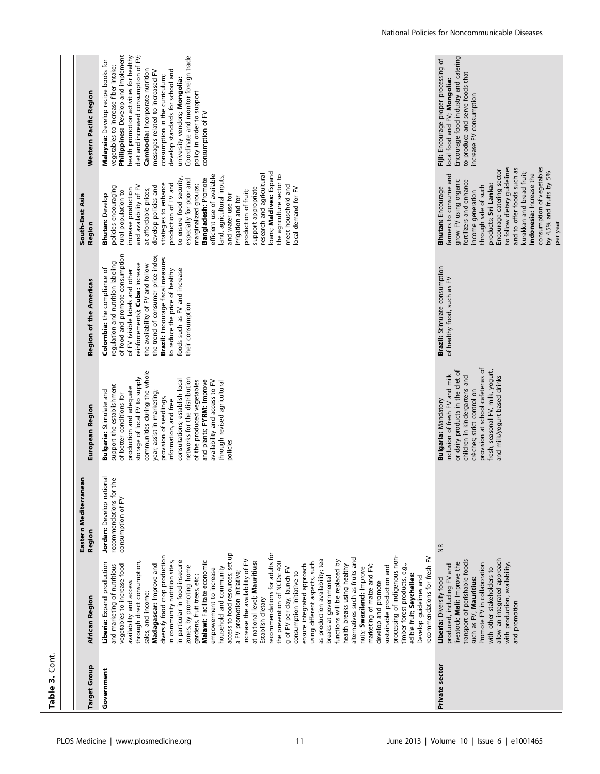| <b>Target Group</b> | <b>African Region</b>                                                                                                                                                                                                                                                                                                                                                                                                                                                                                                                                                                                                                                                                                                                                                                                                                                                                                                                                                                                                                                                                                                                                                                                                                                  | Eastern Mediterranean<br>Region                                          | European Region                                                                                                                                                                                                                                                                                                                                                                                                                                                                  | Region of the Americas                                                                                                                                                                                                                                                                                                                                                            | South-East Asia<br>Region                                                                                                                                                                                                                                                                                                                                                                                                                                                                                                                                                                                                    | Western Pacific Region                                                                                                                                                                                                                                                                                                                                                                                                                                                        |
|---------------------|--------------------------------------------------------------------------------------------------------------------------------------------------------------------------------------------------------------------------------------------------------------------------------------------------------------------------------------------------------------------------------------------------------------------------------------------------------------------------------------------------------------------------------------------------------------------------------------------------------------------------------------------------------------------------------------------------------------------------------------------------------------------------------------------------------------------------------------------------------------------------------------------------------------------------------------------------------------------------------------------------------------------------------------------------------------------------------------------------------------------------------------------------------------------------------------------------------------------------------------------------------|--------------------------------------------------------------------------|----------------------------------------------------------------------------------------------------------------------------------------------------------------------------------------------------------------------------------------------------------------------------------------------------------------------------------------------------------------------------------------------------------------------------------------------------------------------------------|-----------------------------------------------------------------------------------------------------------------------------------------------------------------------------------------------------------------------------------------------------------------------------------------------------------------------------------------------------------------------------------|------------------------------------------------------------------------------------------------------------------------------------------------------------------------------------------------------------------------------------------------------------------------------------------------------------------------------------------------------------------------------------------------------------------------------------------------------------------------------------------------------------------------------------------------------------------------------------------------------------------------------|-------------------------------------------------------------------------------------------------------------------------------------------------------------------------------------------------------------------------------------------------------------------------------------------------------------------------------------------------------------------------------------------------------------------------------------------------------------------------------|
| Government          | access to food resources; set up<br>recommendations for adults for<br>diversify food crop production<br>processing of indigenous non-<br>recommendations for fresh FV<br>alternatives such as fruits and<br>as production availability; tea<br>increase the availability of FV<br>in particular in food-insecure<br>the prevention of NCDs: 400<br>functions will be replaced by<br>in community nutrition sites,<br>through direct consumption,<br>Malawi: Facilitate economic<br>at national level; Mauritius:<br>using different aspects, such<br>Liberia: Expand production<br>vegetables to increase food<br>timber forest products, e.g.,<br>and marketing of nutritious<br>Madagascar: Improve and<br>health breaks using healthy<br>marketing of maize and FV;<br>zones, by promoting home<br>ensure integrated approach<br>sustainable production and<br>household and community<br>g of FV per day; launch FV<br>nuts; Swaziland: Improve<br>empowerment to increase<br>a FV promotion initiative;<br>consumption initiative to<br>edible fruit; Seychelles:<br>gardens, fruit trees, etc.;<br>breaks at governmental<br>Develop guidelines and<br>availability and access<br>develop and promote<br>sales, and income;<br>Establish dietary | Jordan: Develop national<br>recommendations for the<br>consumption of FV | communities during the whole<br>storage of local FV to supply<br>networks for the distribution<br>consultations; establish local<br>and plants; FYRM: Improve<br>availability and access to FV<br>of the produced vegetables<br>through revised agricultural<br>support the establishment<br>production and adequate<br><b>Bulgaria:</b> Stimulate and<br>year; assist in marketing;<br>of better conditions for<br>provision of seedlings,<br>information, and free<br>policies | of food and promote consumption<br>the trend of consumer price index;<br>Brazil: Encourage fiscal measures<br>regulation and nutrition labeling<br>reinforcements); Cuba: Increase<br>the availability of FV and follow<br>Colombia: the compliance of<br>foods such as FV and increase<br>to reduce the price of healthy<br>of FV (visible labels and other<br>their consumption | loans; Maldives: Expand<br>research and agricultural<br>the agriculture sector to<br>efficient use of available<br>land, agricultural inputs,<br>to ensure food security<br>especially for poor and<br><b>Bangladesh: Promote</b><br>strategies to enhance<br>production of FV and<br>marginalized groups;<br>meet household and<br>and availability of FV<br>develop policies and<br>policies encouraging<br>local demand for FV<br>support appropriate<br>increase production<br>at affordable prices;<br>rural population to<br>production of fruit;<br>and water use for<br><b>Bhutan:</b> Develop<br>irrigation and for | Philippines: Develop and implement<br>health promotion activities for healthy<br>diet and increased consumption of FV;<br>Coordinate and monitor foreign trade<br>Malaysia: Develop recipe books for<br>vegetables to increase fiber intake;<br>Cambodia: Incorporate nutrition<br>develop standards for school and<br>messages related to increased FV<br>consumption in the curriculum;<br>university vendors; Mongolia:<br>policy in order to support<br>consumption of FV |
| Private sector      | allow an integrated approach<br>transport of perishable foods<br>livestock; Mali: Improve the<br>with production, availability,<br>Promote FV in collaboration<br>produced, including FV and<br>with other stakeholders to<br>such as FV; Mauritius:<br>Liberia: Diversify food<br>and promotion                                                                                                                                                                                                                                                                                                                                                                                                                                                                                                                                                                                                                                                                                                                                                                                                                                                                                                                                                       | $\widetilde{\Xi}$                                                        | provision at school cafeterias of<br>fresh, seasonal FV, milk, yogurt,<br>or dairy products in the diet of<br>inclusion of fresh FV and milk<br>children in kindergartens and<br>and milk/yogurt-based drinks<br>crèches; strict control on<br><b>Bulgaria: Mandatory</b>                                                                                                                                                                                                        | Brazil: Stimulate consumption<br>of healthy food, such as FV                                                                                                                                                                                                                                                                                                                      | consumption of vegetables<br>to follow dietary guidelines<br>and to offer foods such as<br>Encourage catering sector<br>kurakkan and bread fruit;<br>by 4.5% and fruits by 5%<br>Indonesia: Increase the<br>farmers to consume and<br>grow FV using organic<br>fertilizers and enhance<br>products; Sri Lanka:<br><b>Bhutan:</b> Encourage<br>through sale of such<br>income generation<br>per year                                                                                                                                                                                                                          | Encourage food industry and catering<br>Fiji: Encourage proper processing of<br>to produce and serve foods that<br>local food and FV; Mongolia:<br>increase FV consumption                                                                                                                                                                                                                                                                                                    |

Table 3. Cont.

Table 3. Cont.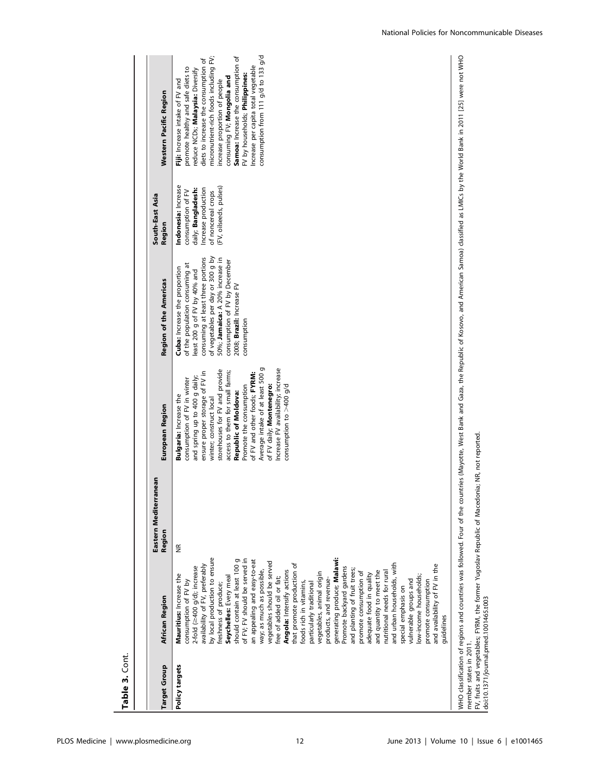| Table 3. Cont.         |                                                                                                                                                                                                                                                                                                                                                                                                                                                                                                                                                                                                                                                                                                                                                                                                                                                                                                                                                                              |                                 |                                                                                                                                                                                                                                                                                                                                                                                                                                                |                                                                                                                                                                                                                                                                                           |                                                                                                                                      |                                                                                                                                                                                                                                                                                                                                                                                                                 |
|------------------------|------------------------------------------------------------------------------------------------------------------------------------------------------------------------------------------------------------------------------------------------------------------------------------------------------------------------------------------------------------------------------------------------------------------------------------------------------------------------------------------------------------------------------------------------------------------------------------------------------------------------------------------------------------------------------------------------------------------------------------------------------------------------------------------------------------------------------------------------------------------------------------------------------------------------------------------------------------------------------|---------------------------------|------------------------------------------------------------------------------------------------------------------------------------------------------------------------------------------------------------------------------------------------------------------------------------------------------------------------------------------------------------------------------------------------------------------------------------------------|-------------------------------------------------------------------------------------------------------------------------------------------------------------------------------------------------------------------------------------------------------------------------------------------|--------------------------------------------------------------------------------------------------------------------------------------|-----------------------------------------------------------------------------------------------------------------------------------------------------------------------------------------------------------------------------------------------------------------------------------------------------------------------------------------------------------------------------------------------------------------|
|                        |                                                                                                                                                                                                                                                                                                                                                                                                                                                                                                                                                                                                                                                                                                                                                                                                                                                                                                                                                                              |                                 |                                                                                                                                                                                                                                                                                                                                                                                                                                                |                                                                                                                                                                                                                                                                                           |                                                                                                                                      |                                                                                                                                                                                                                                                                                                                                                                                                                 |
| <b>Target Group</b>    | African Region                                                                                                                                                                                                                                                                                                                                                                                                                                                                                                                                                                                                                                                                                                                                                                                                                                                                                                                                                               | Eastern Mediterranean<br>Region | European Region                                                                                                                                                                                                                                                                                                                                                                                                                                | <b>Region of the Americas</b>                                                                                                                                                                                                                                                             | South-East Asia<br>Region                                                                                                            | <b>Western Pacific Region</b>                                                                                                                                                                                                                                                                                                                                                                                   |
| Policy targets         | by local production to ensure<br>generating produce; Malawi:<br>should contain at least 100 g<br>of FV; FV should be served in<br>an appealing and easy-to-eat<br>vegetables should be served<br>and urban households, with<br>that promote production of<br>and availability of FV in the<br>availability of FV, preferably<br>$2$ -fold ( $\geq$ 400 g/d); increase<br>Promote backyard gardens<br>and planting of fruit trees;<br>way; as much as possible,<br>Angola: Intensify actions<br>and quantity to meet the<br>nutritional needs for rural<br>promote consumption of<br>vegetables, animal origin<br>adequate food in quality<br>Mauritius: Increase the<br>Seychelles: Every meal<br>low-income households;<br>products, and revenue-<br>free of added oil or fat;<br>vulnerable groups and<br>promote consumption<br>consumption of FV by<br>foods rich in vitamins,<br>freshness of produce;<br>particularly traditional<br>special emphasis on<br>guidelines | $\widetilde{\Xi}$               | Average intake of at least 500 g<br>Increase FV availability; increase<br>storehouses for FV and provide<br>access to them for small farms;<br>ensure proper storage of FV in<br>of FV and other foods; FYRM:<br>and spring up to 400 g daily;<br>consumption of FV in winter<br>of FV daily; Montenegro:<br>Promote the consumption<br>consumption to $>400$ g/d<br>Republic of Moldova:<br>Bulgaria: Increase the<br>winter; construct local | of vegetables per day or 300 g by<br>consuming at least three portions<br>50%; Jamaica: A 20% increase in<br>consumption of FV by December<br>of the population consuming at<br>Cuba: Increase the proportion<br>least 200 g of FV by 40% and<br>2008; Brazil: Increase FV<br>consumption | Indonesia: Increase<br>(FV, oilseeds, pulses)<br>daily; Bangladesh:<br>ncrease production<br>consumption of FV<br>of noncereal crops | consumption from 111 g/d to 133 g/d<br>micronutrient-rich foods including FV;<br>Samoa: Increase the consumption of<br>diets to increase the consumption of<br>Increase per capita total vegetable<br>promote healthy and safe diets to<br>reduce NCDs; Malaysia: Diversify<br>FV by households; Philippines:<br>consuming FV; Mongolia and<br>Fiji: Increase intake of FV and<br>increase proportion of people |
| member states in 2011. | FV, fruits and vegetables; FYRM, the former Yugoslav Republic of Macedonia; NR, not reported<br>doi:10.1371/journal.pmed.1001465.t003                                                                                                                                                                                                                                                                                                                                                                                                                                                                                                                                                                                                                                                                                                                                                                                                                                        |                                 |                                                                                                                                                                                                                                                                                                                                                                                                                                                |                                                                                                                                                                                                                                                                                           |                                                                                                                                      | WHO classification of regions and countries was followed. Four of the countries (Mayotte, West Bank and Gaza, the Republic of Kosovo, and American Samoa) classified as LMICs by the World Bank in 2011 [25] were not WHO                                                                                                                                                                                       |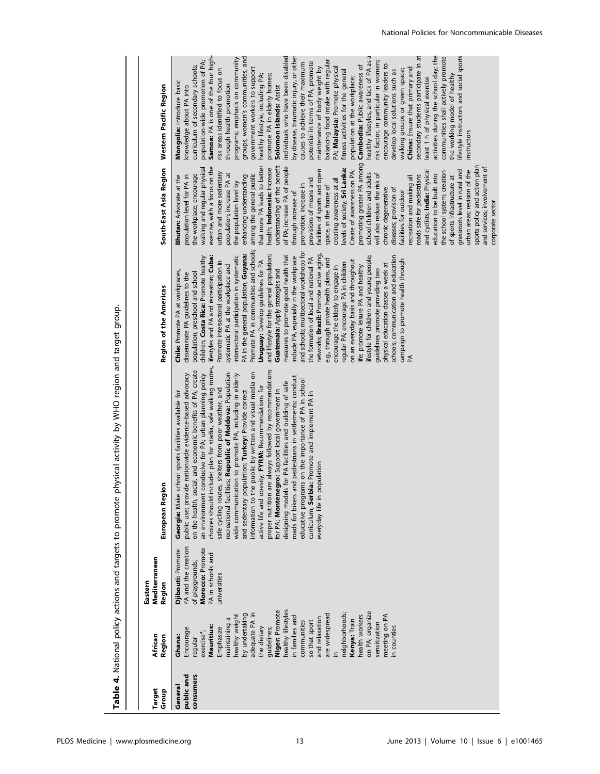Table 4. National policy actions and targets to promote physical activity by WHO region and target group. Table 4. National policy actions and targets to promote physical activity by WHO region and target group.

| <b>Target</b><br>Group             | African<br>Region                                                                                                                                                                                                                                                                                                                                                                                                                                     | Mediterranean<br>Eastern<br>Region                                                                                   | <u>ion</u><br>European Reg                                                                                                                                                                                                                                                                                                                                                                                                                                                                                                                                                                                                                                                                                                                                                                                                                                                                                                                                                                                                                            | Region of the Americas                                                                                                                                                                                                                                                                                                                                                                                                                                                                                                                                                                                                                                                                                                                                                                                                                                                                                                                                                                                                                                                                                                                                                      | South-East Asia Region                                                                                                                                                                                                                                                                                                                                                                                                                                                                                                                                                                                                                                                                                                                                                                                                                                                                                                                                                                                                                                                                                                                                                                        | <b>Western Pacific Region</b>                                                                                                                                                                                                                                                                                                                                                                                                                                                                                                                                                                                                                                                                                                                                                                                                                                                                                                                                                                                                                                                                                                                                                                                                                                                                        |
|------------------------------------|-------------------------------------------------------------------------------------------------------------------------------------------------------------------------------------------------------------------------------------------------------------------------------------------------------------------------------------------------------------------------------------------------------------------------------------------------------|----------------------------------------------------------------------------------------------------------------------|-------------------------------------------------------------------------------------------------------------------------------------------------------------------------------------------------------------------------------------------------------------------------------------------------------------------------------------------------------------------------------------------------------------------------------------------------------------------------------------------------------------------------------------------------------------------------------------------------------------------------------------------------------------------------------------------------------------------------------------------------------------------------------------------------------------------------------------------------------------------------------------------------------------------------------------------------------------------------------------------------------------------------------------------------------|-----------------------------------------------------------------------------------------------------------------------------------------------------------------------------------------------------------------------------------------------------------------------------------------------------------------------------------------------------------------------------------------------------------------------------------------------------------------------------------------------------------------------------------------------------------------------------------------------------------------------------------------------------------------------------------------------------------------------------------------------------------------------------------------------------------------------------------------------------------------------------------------------------------------------------------------------------------------------------------------------------------------------------------------------------------------------------------------------------------------------------------------------------------------------------|-----------------------------------------------------------------------------------------------------------------------------------------------------------------------------------------------------------------------------------------------------------------------------------------------------------------------------------------------------------------------------------------------------------------------------------------------------------------------------------------------------------------------------------------------------------------------------------------------------------------------------------------------------------------------------------------------------------------------------------------------------------------------------------------------------------------------------------------------------------------------------------------------------------------------------------------------------------------------------------------------------------------------------------------------------------------------------------------------------------------------------------------------------------------------------------------------|------------------------------------------------------------------------------------------------------------------------------------------------------------------------------------------------------------------------------------------------------------------------------------------------------------------------------------------------------------------------------------------------------------------------------------------------------------------------------------------------------------------------------------------------------------------------------------------------------------------------------------------------------------------------------------------------------------------------------------------------------------------------------------------------------------------------------------------------------------------------------------------------------------------------------------------------------------------------------------------------------------------------------------------------------------------------------------------------------------------------------------------------------------------------------------------------------------------------------------------------------------------------------------------------------|
| consumers<br>public and<br>General | nealthy lifestyles<br>Niger: Promote<br>on PA; organize<br>by undertaking<br>adequate PA in<br>are widespread<br>neighborhoods<br>meeting on PA<br>healthy weight<br>health workers<br>in families and<br>and relaxation<br>maintaining a<br>Kenya: Train<br>communities<br>so that sport<br>sensitization<br><b>Mauritius:</b><br>n counties<br>the dietary<br>Emphasize<br>quidelines;<br>Encourage<br>exercise <sup>a</sup> ;<br>Ghana:<br>regular | PA and the creation<br>Morocco: Promote<br>Djibouti: Promote<br>PA in schools and<br>of playgrounds;<br>universities | include: plan for stadia, safe walking routes,<br>proper nutrition are always followed by recommendations<br>on the health, social, and economic benefits of PA; create<br>recreational facilities; Republic of Moldova: Population-<br>information to the public by written and visual media on<br>an environment conducive for PA; urban planning policy<br>public use; provide nationwide evidence-based advocacy<br>wide communication to promote PA, including in elderly<br>roads for bikers and pedestrians in settlements; conduct<br>educative programs on the importance of PA in school<br>designing models for PA facilities and building of safe<br>active life and obesity; FYRM: Recommendations for<br>for PA; Montenegro: Support local government in<br>safe cycling routes, shelters from poor weather, and<br>and sedentary population; Turkey: Provide correct<br>school sports facilities available for<br>curriculum; Serbia: Promote and implement PA in<br>population<br>Georgia: Make<br>everyday life in<br>choices should | Promote PA in communities and schools;<br>and schools; multisectoral workshops for<br>PA in the general population; Guyana:<br>and lifestyle for the general population;<br>networks; Brazil: Promote active aging,<br>measures to promote good health that<br>lifestyles and PA and recreation; Cuba:<br>intersectoral participation in systematic<br>include PA, especially in the workplace<br>lifestyle for children and young people;<br>schools; communication and education<br>the formation of local and national PA<br>children; Costa Rica: Promote healthy<br>e.g., through private health plans, and<br>campaign to promote health through<br><b>Uruguay:</b> Develop guidelines for PA<br>on an everyday basis and throughout<br>Promote intersectoral participation in<br>regular PA; encourage PA in children<br>physical education classes a week at<br>systematic PA at the workplace and<br>life; promote leisure PA and healthy<br>encourage the elderly to engage in<br>guidelines promote providing two<br>Guatemala: Apply strategies and<br>Chile: Promote PA at workplaces,<br>population, preschool and school<br>disseminate PA guidelines to the | promoting greater PA among<br>understanding of the benefit<br>that more PA leads to better<br>exercise, with a focus on the<br>sports policy and action plan<br>of PA; increase PA of people<br>and services; involvement of<br>walking and regular physical<br>levels of society; Sri Lanka:<br>health; Indonesia: Increase<br>Create of awareness on PA;<br>facilities of sports and open<br>qrassroots level in rural and<br>urban areas; revision of the<br>the school system; creation<br>and cyclists; India: Physical<br>urban and more sedentary<br>school children and adults<br>among the general public<br>will also reduce the risk of<br>the workplace; encourage<br>population; increase PA at<br>education to be built into<br>enhancing understanding<br>roads safe for pedestrians<br><b>Bhutan: Advocate at the</b><br>population level for PA in<br>of sports infrastructure at<br>recreation and making all<br>provisions of means and<br>creating awareness at all<br>the population level by<br>promotion; increase in<br>space, in the frame of<br>diseases; provision of<br>chronic degenerative<br>facilities for outdoor<br>through increase of<br>corporate sector | activities during the school day; the<br>ā<br>communities shall actively promote<br>lifestyle instructors and social sports<br>Samoa: PA is one of the four high-<br>individuals who have been disabled<br>by disease, traumatic injury, or other<br>secondary students participate in at<br>groups, women's communities, and<br>programs; emphasis on community<br>balancing food intake with regular<br>healthy lifestyles, and lack of PA as<br>population-wide promotion of PA;<br>risk factor, in particular in women;<br>potential in terms of PA; promote<br>causes to achieve their maximum<br>encourage community leaders to<br>Cambodia: Public awareness of<br>curriculum of secondary schools;<br>maintenance of body weight by<br>government workers to support<br>PA; Malaysia: Promote physical<br>China: Ensure that primary and<br>risk areas identified to focus on<br>walking groups or green space;<br>develop local solutions such as<br>fitness activities for the general<br>the working model of healthy<br>promote PA in elderly homes;<br>healthy lifestyle, including PA;<br>population at the workplace;<br>least 1 h of physical exercise<br>Mongolia: Introduce basic<br>through health promotion<br>Solomon Islands: Assist<br>knowledge about PA into<br>instructors |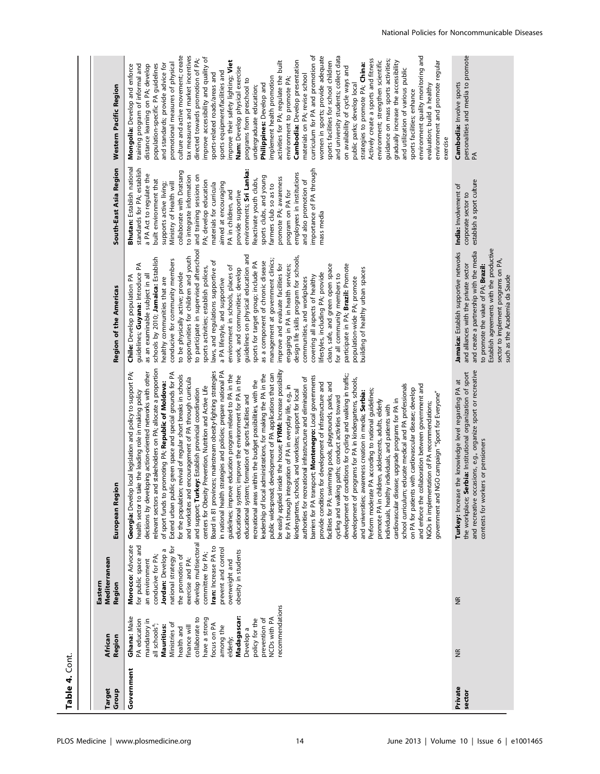Table 4. Cont. Table 4. Cont.

| Group<br>Target   | African<br>Region                                                                                                                                                                                                                                                                                                          | Mediterranean<br>Eastern<br>Region                                                                                                                                                                                                                                                                           | European Region                                                                                                                                                                                                                                                                                                                                                                                                                                                                                                                                                                                                                                                                                                                                                                                                                                                                                                                                                                                                                                                                                                                                                                                                                                                                                                                                                                                                                                                                                                                                                                                                                                                                                                                                                                                                                                                                                                                                                                                                                                                                                                                                                                                                                                                                                                                                                                              | <b>Region of the Americas</b>                                                                                                                                                                                                                                                                                                                                                                                                                                                                                                                                                                                                                                                                                                                                                                                                                                                                                                                                                                                                                                                                        | South-East Asia Region                                                                                                                                                                                                                                                                                                                                                                                                                                                                                                                                                                                                                              | <b>Western Pacific Region</b>                                                                                                                                                                                                                                                                                                                                                                                                                                                                                                                                                                                                                                                                                                                                                                                                                                                                                                                                                                                                                                                                                                                                                                                                                                                                                                                                                                                       |
|-------------------|----------------------------------------------------------------------------------------------------------------------------------------------------------------------------------------------------------------------------------------------------------------------------------------------------------------------------|--------------------------------------------------------------------------------------------------------------------------------------------------------------------------------------------------------------------------------------------------------------------------------------------------------------|----------------------------------------------------------------------------------------------------------------------------------------------------------------------------------------------------------------------------------------------------------------------------------------------------------------------------------------------------------------------------------------------------------------------------------------------------------------------------------------------------------------------------------------------------------------------------------------------------------------------------------------------------------------------------------------------------------------------------------------------------------------------------------------------------------------------------------------------------------------------------------------------------------------------------------------------------------------------------------------------------------------------------------------------------------------------------------------------------------------------------------------------------------------------------------------------------------------------------------------------------------------------------------------------------------------------------------------------------------------------------------------------------------------------------------------------------------------------------------------------------------------------------------------------------------------------------------------------------------------------------------------------------------------------------------------------------------------------------------------------------------------------------------------------------------------------------------------------------------------------------------------------------------------------------------------------------------------------------------------------------------------------------------------------------------------------------------------------------------------------------------------------------------------------------------------------------------------------------------------------------------------------------------------------------------------------------------------------------------------------------------------------|------------------------------------------------------------------------------------------------------------------------------------------------------------------------------------------------------------------------------------------------------------------------------------------------------------------------------------------------------------------------------------------------------------------------------------------------------------------------------------------------------------------------------------------------------------------------------------------------------------------------------------------------------------------------------------------------------------------------------------------------------------------------------------------------------------------------------------------------------------------------------------------------------------------------------------------------------------------------------------------------------------------------------------------------------------------------------------------------------|-----------------------------------------------------------------------------------------------------------------------------------------------------------------------------------------------------------------------------------------------------------------------------------------------------------------------------------------------------------------------------------------------------------------------------------------------------------------------------------------------------------------------------------------------------------------------------------------------------------------------------------------------------|---------------------------------------------------------------------------------------------------------------------------------------------------------------------------------------------------------------------------------------------------------------------------------------------------------------------------------------------------------------------------------------------------------------------------------------------------------------------------------------------------------------------------------------------------------------------------------------------------------------------------------------------------------------------------------------------------------------------------------------------------------------------------------------------------------------------------------------------------------------------------------------------------------------------------------------------------------------------------------------------------------------------------------------------------------------------------------------------------------------------------------------------------------------------------------------------------------------------------------------------------------------------------------------------------------------------------------------------------------------------------------------------------------------------|
| Government        | recommendations<br>Ghana: Make<br>Madagascar:<br>NCDs with PA<br>collaborate to<br>prevention of<br>have a strong<br>policy for the<br>PA education<br>mandatory in<br>Ministries of<br>focus on PA<br>all schools <sup>a</sup> ;<br><b>Mauritius:</b><br>among the<br>finance will<br>health and<br>Develop a<br>elderly; | develop multisectoral<br>Morocco: Advocate<br>for public space and<br>Iran: Increase PA to<br>national strategy for<br>prevent and control<br>Jordan: Develop a<br>obesity in students<br>committee for PA;<br>conducive for PA;<br>the promotion of<br>exercise and PA:<br>an environment<br>overweight and | relevant sectors and stakeholders on PA; allocate a proportion<br>be easily applied inside the house; FYRM: Increase possibility<br>Board in 81 provinces; mainstream obesity-fighting strategies<br>in national health strategies and policies; prepare national PA<br>Georgia: Develop local legislation and policy to support PA;<br>Extend urban public green space and special grounds for PA<br>decisions by developing action-oriented networks with other<br>public widespread; development of PA applications that can<br>guidelines; improve education program related to PA in the<br>leadership of local administrations, for making the PA in the<br>development of conditions for cycling and walking in traffic;<br>for the population; revival of regular short breaks in schools<br>educational system; improve the environment for PA in the<br>barriers for PA transport; Montenegro: Local governments<br>authorities for recreational infrastructure and elimination of<br>programs for PA in kindergartens, schools,<br>and worksites and encouragement of PA through curricula<br>recreational areas within the budget possibilities, with the<br>promoting PA; Republic of Moldova:<br>facilities for PA: swimming pools, playgrounds, parks, and<br>provide conditions for development of infrastructure and<br>school curriculum; educate medical and PA professionals<br>and enforce the collaboration between government and<br>for PA through integration of PA in everyday life, e.g., in<br>centers for Obesity Prevention, Nutrition and Active Life<br>on PA for patients with cardiovascular disease; develop<br>and support; Turkey: Establish provincial coordination<br>kindergartens, schools, and worksites; support for local<br>Perform moderate PA according to national guidelines;<br>health sector to take the leading role in making policy<br>awareness creation in media; Serbia:<br>NGO campaign "Sport for Everyone"<br>educational system; formation of sports facilities and<br>cycling and walking paths; conduct activities toward<br>cardiovascular disease; upgrade programs for PA in<br>promote PA in children, adolescents, adults, elderly<br>NGOs in implementation of PA recommendations;<br>individuals, healthy individuals, and patients with<br>of sport funds to<br>government and<br>development of<br>and universities; | to participate in supervised afterschool<br>guidelines on physical education and<br>design life skills program for schools,<br>opportunities for children and youth<br>schools by 2010; Jamaica: Establish<br>conducive for community members<br>management at government clinics;<br>laws, and regulations supportive of<br>as a component of chronic disease<br>sports for target group; include PA<br>guidelines; Guyana: Introduce PA<br>improve and evaluate facilities for<br>participate in PA; Brazil: Promote<br>engaging in PA in health services;<br>clean, safe, and green open space<br>environment in schools, places of<br>sports activities; establish polices,<br>work, and communities; develop<br>building of healthy urban spaces<br>to be physically active; provide<br>lifestyles, including PA; provide<br>as an examinable subject in all<br>for all community members to<br>covering all aspects of healthy<br>Chile: Develop population PA<br>healthy communities that are<br>a PA lifestyle, and supportive<br>population-wide PA; promote<br>communities, and workplaces | <b>Bhutan:</b> Establish national<br>standards for PA; establish<br>importance of PA through<br>environments; Sri Lanka:<br>collaborate with Dratsang<br>employees in institutions<br>a PA Act to regulate the<br>and training sessions on<br>to integrate information<br>sports clubs, and young<br>promote PA; awareness<br>Reactivate youth clubs,<br>built environment that<br>and also promotion of<br>PA; develop education<br>Ministry of Health will<br>aimed at encouraging<br>supports active living;<br>materials for curricula<br>farmers club so as to<br>PA in children, and<br>provide supportive<br>program on PA for<br>mass media | and university students; collect data<br>culture and active movement; create<br>tax measures and market incentives<br>women in sports; provide adequate<br>curriculum for PA and promotion of<br>environment quality monitoring and<br>improve accessibility and quality of<br>directed towards promotion of PA;<br>Actively create a sports and fitness<br>guidance on mass sports activities;<br>Cambodia: Develop presentation<br>improve their safety lighting; Viet<br>sports facilities for school children<br>environment; strengthen scientific<br>environment and promote regular<br>activities for PA; regulate the built<br>gradually increase the accessibility<br>strategies to promote PA; China:<br>promotional measures of physical<br>and standards; provide advice for<br>population-specific PA guidelines<br>training program of informal and<br>distance learning on PA; develop<br>Mongolia: Develop and enforce<br>on availability of cycle ways and<br>Nam: Develop physical exercise<br>and utilization of various public<br>sports equipment/facilities and<br>sports-related roads/areas and<br>materials on PA; revise school<br>implement health promotion<br>environment to promote PA;<br>programs from preschool to<br>public parks; develop local<br>Philippines: Develop and<br>evaluation; build a healthy<br>undergraduate education;<br>sports facilities; enhance<br>exercise |
| Private<br>sector | $\frac{\kappa}{2}$                                                                                                                                                                                                                                                                                                         | $\frac{\alpha}{2}$                                                                                                                                                                                                                                                                                           | and recreative occasions, e.g., organize sport or recreative<br>the workplace; Serbia: Institutional organization of sport<br>Turkey: Increase the knowledge level regarding PA at<br>contests for workers or pensioners                                                                                                                                                                                                                                                                                                                                                                                                                                                                                                                                                                                                                                                                                                                                                                                                                                                                                                                                                                                                                                                                                                                                                                                                                                                                                                                                                                                                                                                                                                                                                                                                                                                                                                                                                                                                                                                                                                                                                                                                                                                                                                                                                                     | Establish agreements with the productive<br>and create a partnership with the media<br>Jamaica: Establish supportive networks<br>sector to implement programs on PA,<br>and alliances with the private sector<br>to promote the value of PA; Brazil:<br>such as the Academia da Saude                                                                                                                                                                                                                                                                                                                                                                                                                                                                                                                                                                                                                                                                                                                                                                                                                | establish a sport culture<br>India: Involvement of<br>corporate sector to                                                                                                                                                                                                                                                                                                                                                                                                                                                                                                                                                                           | personalities and media to promote<br>Cambodia: Involve sports<br>PA                                                                                                                                                                                                                                                                                                                                                                                                                                                                                                                                                                                                                                                                                                                                                                                                                                                                                                                                                                                                                                                                                                                                                                                                                                                                                                                                                |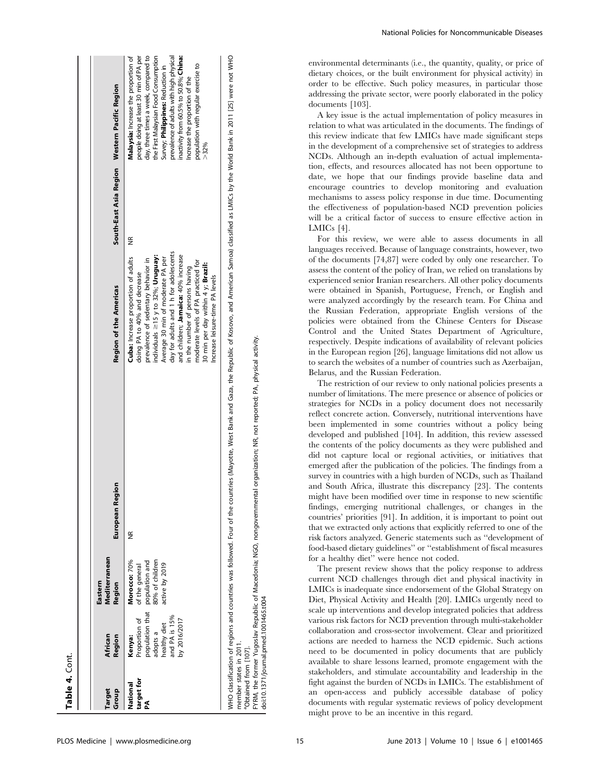| Group<br>Target             | African<br>Region                                                                                       | Mediterranean<br>Eastern<br>Region                                                    | aion<br>European Reg | <b>Region of the Americas</b>                                                                                                                                                                                                                                                                                                                                                                                                          |                   | South-East Asia Region Western Pacific Region                                                                                                                                                                                                                                                                                                                            |
|-----------------------------|---------------------------------------------------------------------------------------------------------|---------------------------------------------------------------------------------------|----------------------|----------------------------------------------------------------------------------------------------------------------------------------------------------------------------------------------------------------------------------------------------------------------------------------------------------------------------------------------------------------------------------------------------------------------------------------|-------------------|--------------------------------------------------------------------------------------------------------------------------------------------------------------------------------------------------------------------------------------------------------------------------------------------------------------------------------------------------------------------------|
| target for<br>National<br>Ž | population that<br>and PA is 15%<br>Proportion of<br>by 2016/2017<br>healthy diet<br>adopts a<br>Kenya: | population and<br>80% of children<br>Morocco: 70%<br>active by 2019<br>of the general | $\frac{\alpha}{2}$   | day for adults and 1 h for adolescents<br>and children; Jamaica: 40% increase<br>individuals $\geq$ 15 y to 32%; Uruguay:<br><b>Cuba:</b> Increase proportion of adults<br>Average 30 min of moderate PA per<br>prevalence of sedentary behavior in<br>moderate levels of PA practiced for<br>30 min per day within 4 y; Brazil:<br>in the number of persons having<br>doing PA to 40% and decrease<br>Increase leisure-time PA levels | $\widetilde{\Xi}$ | people doing at least 30 min of PA per<br>day, three times a week, compared to<br>the First Malaysian Food Consumption<br>Malaysia: Increase the proportion of<br>prevalence of adults with high physical<br>nactivity from 60.5% to 50.8%; China:<br>population with regular exercise to<br>Survey; Philippines: Reduction in<br>Increase the proportion of the<br>>32% |

environmental determinants (i.e., the quantity, quality, or price of dietary choices, or the built environment for physical activity) in order to be effective. Such policy measures, in particular those addressing the private sector, were poorly elaborated in the policy documents [103].

A key issue is the actual implementation of policy measures in relation to what was articulated in the documents. The findings of this review indicate that few LMICs have made significant steps in the development of a comprehensive set of strategies to address NCDs. Although an in-depth evaluation of actual implementation, effects, and resources allocated has not been opportune to date, we hope that our findings provide baseline data and encourage countries to develop monitoring and evaluation mechanisms to assess policy response in due time. Documenting the effectiveness of population-based NCD prevention policies will be a critical factor of success to ensure effective action in LMICs [4].

For this review, we were able to assess documents in all languages received. Because of language constraints, however, two of the documents [74,87] were coded by only one researcher. To assess the content of the policy of Iran, we relied on translations by experienced senior Iranian researchers. All other policy documents were obtained in Spanish, Portuguese, French, or English and were analyzed accordingly by the research team. For China and the Russian Federation, appropriate English versions of the policies were obtained from the Chinese Centers for Disease Control and the United States Department of Agriculture, respectively. Despite indications of availability of relevant policies in the European region [26], language limitations did not allow us to search the websites of a number of countries such as Azerbaijan, Belarus, and the Russian Federation.

The restriction of our review to only national policies presents a number of limitations. The mere presence or absence of policies or strategies for NCDs in a policy document does not necessarily reflect concrete action. Conversely, nutritional interventions have been implemented in some countries without a policy being developed and published [104]. In addition, this review assessed the contents of the policy documents as they were published and did not capture local or regional activities, or initiatives that emerged after the publication of the policies. The findings from a survey in countries with a high burden of NCDs, such as Thailand and South Africa, illustrate this discrepancy [23]. The contents might have been modified over time in response to new scientific findings, emerging nutritional challenges, or changes in the countries' priorities [91]. In addition, it is important to point out that we extracted only actions that explicitly referred to one of the risk factors analyzed. Generic statements such as ''development of food-based dietary guidelines'' or ''establishment of fiscal measures for a healthy diet'' were hence not coded.

The present review shows that the policy response to address current NCD challenges through diet and physical inactivity in LMICs is inadequate since endorsement of the Global Strategy on Diet, Physical Activity and Health [20]. LMICs urgently need to scale up interventions and develop integrated policies that address various risk factors for NCD prevention through multi-stakeholder collaboration and cross-sector involvement. Clear and prioritized actions are needed to harness the NCD epidemic. Such actions need to be documented in policy documents that are publicly available to share lessons learned, promote engagement with the stakeholders, and stimulate accountability and leadership in the fight against the burden of NCDs in LMICs. The establishment of an open-access and publicly accessible database of policy documents with regular systematic reviews of policy development might prove to be an incentive in this regard.

Table 4 Cont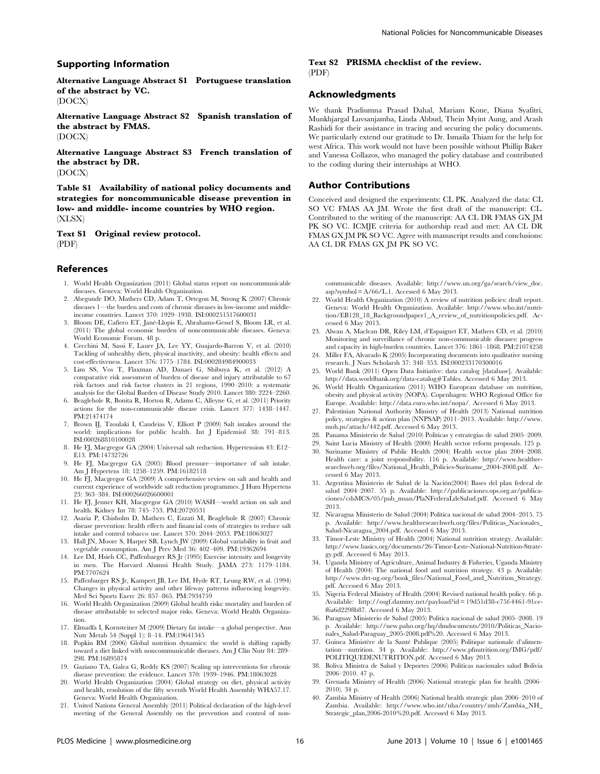## Supporting Information

Alternative Language Abstract S1 Portuguese translation of the abstract by VC. (DOCX)

Alternative Language Abstract S2 Spanish translation of the abstract by FMAS. (DOCX)

Alternative Language Abstract S3 French translation of the abstract by DR. (DOCX)

Table S1 Availability of national policy documents and strategies for noncommunicable disease prevention in low- and middle- income countries by WHO region. (XLSX)

Text S1 Original review protocol. (PDF)

## References

- 1. World Health Organization (2011) Global status report on noncommunicable diseases. Geneva: World Health Organization.
- 2. Abegunde DO, Mathers CD, Adam T, Ortegon M, Strong K (2007) Chronic diseases 1—the burden and costs of chronic diseases in low-income and middleincome countries. Lancet 370: 1929–1938. ISI:000251517600031
- 3. Bloom DE, Cafiero ET, Jané-Llopis E, Abrahams-Gessel S, Bloom LR, et al. (2011) The global economic burden of noncommunicable diseases. Geneva: World Economic Forum. 48 p.
- 4. Cecchini M, Sassi F, Lauer JA, Lee YY, Guajardo-Barron V, et al. (2010) Tackling of unhealthy diets, physical inactivity, and obesity: health effects and cost-effectiveness. Lancet 376: 1775–1784. ISI:000284984900033
- 5. Lim SS, Vos T, Flaxman AD, Danaei G, Shibuya K, et al. (2012) A comparative risk assessment of burden of disease and injury attributable to 67 risk factors and risk factor clusters in 21 regions, 1990–2010: a systematic analysis for the Global Burden of Disease Study 2010. Lancet 380: 2224–2260.
- 6. Beaglehole R, Bonita R, Horton R, Adams C, Alleyne G, et al. (2011) Priority actions for the non-communicable disease crisis. Lancet 377: 1438–1447. PM:21474174
- 7. Brown IJ, Tzoulaki I, Candeias V, Elliott P (2009) Salt intakes around the world: implications for public health. Int J Epidemiol 38: 791–813. ISI:000268810100028
- 8. He FJ, Macgregor GA (2004) Universal salt reduction. Hypertension 43: E12– E13. PM:14732726
- 9. He FJ, Macgregor GA (2005) Blood pressure—importance of salt intake. Am J Hypertens 18: 1258–1259. PM:16182118
- 10. He FJ, Macgregor GA (2009) A comprehensive review on salt and health and current experience of worldwide salt reduction programmes. J Hum Hypertens 23: 363–384. ISI:000266026600001
- 11. He FJ, Jenner KH, Macgregor GA (2010) WASH—world action on salt and health. Kidney Int 78: 745–753. PM:20720531
- 12. Asaria P, Chisholm D, Mathers C, Ezzati M, Beaglehole R (2007) Chronic disease prevention: health effects and financial costs of strategies to reduce salt intake and control tobacco use. Lancet 370: 2044–2053. PM:18063027
- 13. Hall JN, Moore S, Harper SB, Lynch JW (2009) Global variability in fruit and vegetable consumption. Am J Prev Med 36: 402–409. PM:19362694
- 14. Lee IM, Hsieh CC, Paffenbarger RS Jr (1995) Exercise intensity and longevity in men. The Harvard Alumni Health Study. JAMA 273: 1179–1184. PM:7707624
- 15. Paffenbarger RS Jr, Kampert JB, Lee IM, Hyde RT, Leung RW, et al. (1994) Changes in physical activity and other lifeway patterns influencing longevity. Med Sci Sports Exerc 26: 857–865. PM:7934759
- 16. World Health Organization (2009) Global health risks: mortality and burden of disease attributable to selected major risks. Geneva: World Health Organization.
- 17. Elmadfa I, Kornsteiner M (2009) Dietary fat intake—a global perspective. Ann Nutr Metab 54 (Suppl 1): 8–14. PM:19641345
- 18. Popkin BM (2006) Global nutrition dynamics: the world is shifting rapidly toward a diet linked with noncommunicable diseases. Am J Clin Nutr 84: 289– 298. PM:16895874
- 19. Gaziano TA, Galea G, Reddy KS (2007) Scaling up interventions for chronic disease prevention: the evidence. Lancet 370: 1939–1946. PM:18063028
- 20. World Health Organization (2004) Global strategy on diet, physical activity and health, resolution of the fifty seventh World Health Assembly WHA57.17. Geneva: World Health Organization.
- 21. United Nations General Assembly (2011) Political declaration of the high-level meeting of the General Assembly on the prevention and control of non-

#### Text S2 PRISMA checklist of the review. (PDF)

## Acknowledgments

We thank Pradiumna Prasad Dahal, Mariam Kone, Diana Syafitri, Munkhjargal Luvsanjamba, Linda Abbud, Thein Myint Aung, and Arash Rashidi for their assistance in tracing and securing the policy documents. We particularly extend our gratitude to Dr. Ismaila Thiam for the help for west Africa. This work would not have been possible without Phillip Baker and Vanessa Collazos, who managed the policy database and contributed to the coding during their internships at WHO.

## Author Contributions

Conceived and designed the experiments: CL PK. Analyzed the data: CL SO VC FMAS AA JM. Wrote the first draft of the manuscript: CL. Contributed to the writing of the manuscript: AA CL DR FMAS GX JM PK SO VC. ICMJE criteria for authorship read and met: AA CL DR FMAS GX JM PK SO VC. Agree with manuscript results and conclusions: AA CL DR FMAS GX JM PK SO VC.

communicable diseases. Available: http://www.un.org/ga/search/view\_doc. asp?symbol =  $A/66/L.1$ . Accessed 6 May 2013.

- 22. World Health Organization (2010) A review of nutrition policies: draft report. Geneva: World Health Organization. Available: http://www.who.int/nutrition/EB128\_18\_Backgroundpaper1\_A\_review\_of\_nutritionpolicies.pdf. Accessed 6 May 2013.
- 23. Alwan A, Maclean DR, Riley LM, d'Espaignet ET, Mathers CD, et al. (2010) Monitoring and surveillance of chronic non-communicable diseases: progress and capacity in high-burden countries. Lancet 376: 1861–1868. PM:21074258
- 24. Miller FA, Alvarado K (2005) Incorporating documents into qualitative nursing research. J Nurs Scholarsh 37: 348–353. ISI:000233170300016
- 25. World Bank (2011) Open Data Initiative: data catalog [database]. Available: http://data.worldbank.org/data-catalog#Tables. Accessed 6 May 2013.
- 26. World Health Organization (2011) WHO European database on nutrition, obesity and physical activity (NOPA). Copenhagen: WHO Regional Office for Europe. Available: http://data.euro.who.int/nopa/. Accessed 6 May 2013.
- 27. Palestinian National Authority Ministry of Health (2013) National nutrition policy, strategies & action plan (NNPSAP) 2011–2013. Available: http://www. moh.ps/attach/442.pdf. Accessed 6 May 2013.
- 28. Panama Ministerio de Salud (2010) Politicas y estrategias de salud 2005–2009.
- 29. Saint Lucia Ministry of Health (2000) Health sector reform proposals. 125 p.
- 30. Suriname Ministry of Public Health (2004) Health sector plan 2004–2008. Health care: a joint responsibility. 116 p. Available: http://www.healthresearchweb.org/files/National\_Health\_Policies-Suriname\_2004-2008.pdf. Accessed 6 May 2013.
- 31. Argentina Ministerio de Salud de la Nación(2004) Bases del plan federal de salud 2004–2007. 55 p. Available: http://publicaciones.ops.org.ar/publicaciones/cdsMCS/05/pub\_msan/PlaNFederaLdeSalud.pdf. Accessed 6 May 2013.
- 32. Nicaragua Ministerio de Salud (2004) Política nacional de salud 2004–2015. 75 p. Available: http://www.healthresearchweb.org/files/Politicas\_Nacionales\_ Salud-Nicaragua\_2004.pdf. Accessed 6 May 2013.
- 33. Timor-Leste Ministry of Health (2004) National nutrition strategy. Available: http://www.basics.org/documents/26-Timor-Leste-National-Nutrition-Strategy.pdf. Accessed 6 May 2013.
- 34. Uganda Ministry of Agriculture, Animal Industry & Fisheries, Uganda Ministry of Health (2004) The national food and nutrition strategy. 43 p. Available: http://www.drt-ug.org/book\_files/National\_Food\_and\_Nutrition\_Strategy. pdf. Accessed 6 May 2013.
- 35. Nigeria Federal Ministry of Health (2004) Revised national health policy. 66 p. Available: http://osgf.dammy.net/payload?id = 19d51d38-c75f-4461-91cef6a6d2298b87. Accessed 6 May 2013.
- 36. Paraguay Ministerio de Salud (2005) Polı´tica nacional de salud 2005–2008. 19 p. Available: http://new.paho.org/hq/dmdocuments/2010/Politicas\_Nacionales\_Salud-Paraguay\_2005-2008.pdf%20. Accessed 6 May 2013.
- 37. Guinea Ministère de la Santé Publique (2005) Politique nationale d'alimentation—nutrition. 34 p. Available: http://www.pfnutrition.org/IMG/pdf/ POLITIQUEDENUTRITION.pdf. Accessed 6 May 2013.
- 38. Boliva Ministra de Salud y Deportes (2006) Politicas nacionales salud Bolivia 2006–2010. 47 p.
- 39. Grenada Ministry of Health (2006) National strategic plan for health (2006– 2010). 34 p.
- 40. Zambia Ministry of Health (2006) National health strategic plan 2006–2010 of Zambia. Available: http://www.who.int/nha/country/zmb/Zambia\_NH\_ Strategic\_plan,2006-2010%20.pdf. Accessed 6 May 2013.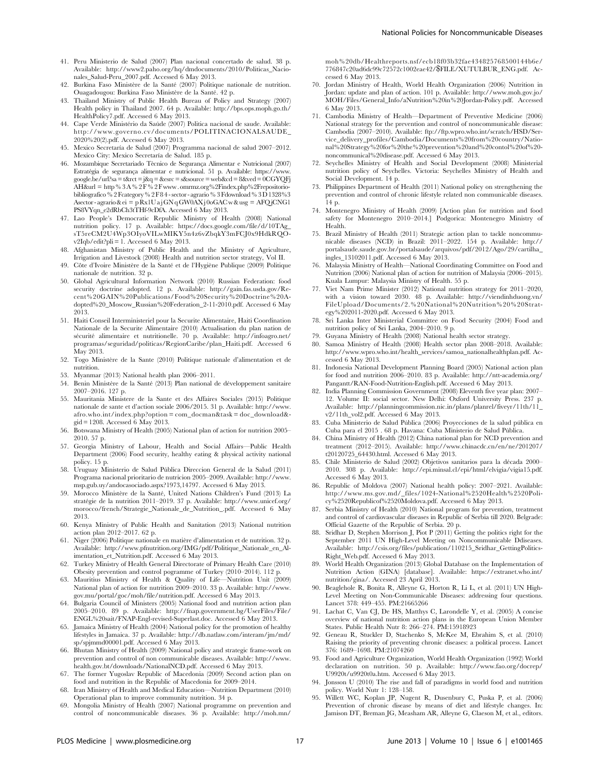- 41. Peru Ministerio de Salud (2007) Plan nacional concertado de salud. 38 p. Available: http://www2.paho.org/hq/dmdocuments/2010/Politicas\_Nacionales\_Salud-Peru\_2007.pdf. Accessed 6 May 2013.
- 42. Burkina Faso Ministère de la Santé (2007) Politique nationale de nutrition. Ouagadougou: Burkina Faso Ministère de la Santé. 42 p.
- 43. Thailand Ministry of Public Health Bureau of Policy and Strategy (2007) Health policy in Thailand 2007. 64 p. Available: http://bps.ops.moph.go.th/ HealthPolicy7.pdf. Accessed 6 May 2013.
- 44. Cape Verde Ministério da Saúde (2007) Politica nacional de saude. Available: http://www.governo.cv/documents/POLITINACIONALSAUDE\_ 2020%20(2).pdf. Accessed 6 May 2013.
- 45. Mexico Secretarı´a de Salud (2007) Programma nacional de salud 2007–2012. Mexico City: Mexico Secretaría de Salud. 185 p.
- 46. Mozambique Secretariado Técnico de Segurança Alimentar e Nutricional (2007) Estratégia de segurança alimentar e nutricional. 51 p. Available: https://www. google.be/url?sa = t&rct = j&q = &esrc = s&source = web&cd = 8&ved = 0CGYQFj AH&url = http%3 A%2F%2Fwww.omrmz.org%2Findex.php%2Frepositoriobibliografico%2Fcategory%2F84 -sector-agrario%3Fdownload%3D1328%3 Asector-agrario&ei = pRx1UajGNqGW0AXj0oGACw&usg = AFQjCNG1 PS8VYqn\_e2dRbCh3tTHf-9cDfA. Accessed 6 May 2013.
- 47. Lao People's Democratic Republic Ministry of Health (2008) National nutrition policy. 17 p. Available: https://docs.google.com/file/d/10TAg\_ sT5reCM2U4Wp3OIyoVILwMIKY5n4z6vZbqkY3mFCJ0x9HdkRQO $v2Iqb/edit?phi = 1.$  Accessed 6 May 2013.
- 48. Afghanistan Ministry of Public Health and the Ministry of Agriculture, Irrigation and Livestock (2008) Health and nutrition sector strategy, Vol II.
- 49. Côte d'Ivoire Ministère de la Santé et de l'Hygiène Publique (2009) Politique nationale de nutrition. 32 p.
- 50. Global Agricultural Information Network (2010) Russian Federation: food security doctrine adopted. 12 p. Available: http://gain.fas.usda.gov/Recent%20GAIN%20Publications/Food%20Security%20Doctrine%20Adopted%20\_Moscow\_Russian%20Federation\_2-11-2010.pdf. Accessed 6 May 2013.
- 51. Haiti Conseil Interministeriel pour la Securite Alimentaire, Haiti Coordination Nationale de la Securite Alimentaire (2010) Actualisation du plan nation de sécurité alimentaire et nutritionelle. 70 p. Available: http://infoagro.net/ programas/seguridad/politicas/RegionCaribe/plan\_Haiti.pdf. Accessed 6 May 2013.
- 52. Togo Ministère de la Sante (2010) Politique nationale d'alimentation et de nutrition.
- 53. Myanmar (2013) National health plan 2006–2011.
- 54. Benin Ministère de la Santé (2013) Plan national de développement sanitaire 2007–2016. 127 p.
- 55. Mauritania Ministere de la Sante et des Affaires Sociales (2015) Politique nationale de sante et d'action sociale 2006/2015. 31 p. Available: http://www. afro.who.int/index.php?option = com\_docman&task = doc\_download&  $gid = 1208$ . Accessed 6 May 2013.
- 56. Botswana Ministry of Health (2005) National plan of action for nutrition 2005– 2010. 57 p.
- 57. Georgia Ministry of Labour, Health and Social Affairs—Public Health Department (2006) Food security, healthy eating & physical activity national policy. 15 p.
- Uruguay Ministerio de Salud Pública Direccion General de la Salud (2011) Programa nacional prioritario de nutricion 2005–2009. Available: http://www. msp.gub.uy/andocasociado.aspx?1973,14797. Accessed 6 May 2013.
- 59. Morocco Ministère de la Santé, United Nations Children's Fund (2013) La stratégie de la nutrition 2011–2019. 37 p. Available: http://www.unicef.org/ morocco/french/Strategie\_Nationale\_de\_Nutrition\_.pdf. Accessed 6 May 2013.
- 60. Kenya Ministry of Public Health and Sanitation (2013) National nutrition action plan 2012–2017. 62 p.
- 61. Niger (2006) Politique nationale en matière d'alimentation et de nutrition. 32 p. Available: http://www.pfnutrition.org/IMG/pdf/Politique\_Nationale\_en\_Alimentation\_et\_Nutrition.pdf. Accessed 6 May 2013.
- 62. Turkey Ministry of Health General Directorate of Primary Health Care (2010) Obesity prevention and control pogramme of Turkey (2010–2014). 112 p.
- 63. Mauritius Ministry of Health & Quality of Life—Nutrition Unit (2009) National plan of action for nutrition 2009–2010. 33 p. Available: http://www. gov.mu/portal/goc/moh/file/nutrition.pdf. Accessed 6 May 2013.
- 64. Bulgaria Council of Ministers (2005) National food and nutrition action plan 2005–2010. 89 p. Available: http://fnap.government.bg/UserFiles/File/ ENGL%20sait/FNAP-Engl-revised-Superlast.doc. Accessed 6 May 2013.
- Jamaica Ministry of Health (2004) National policy for the promotion of healthy lifestyles in Jamaica. 37 p. Available: http://db.natlaw.com/interam/jm/md/ sp/spjmmd00001.pdf. Accessed 6 May 2013.
- 66. Bhutan Ministry of Health (2009) National policy and strategic frame-work on prevention and control of non communicable diseases. Available: http://www. health.gov.bt/downloads/NationalNCD.pdf. Accessed 6 May 2013.
- 67. The former Yugoslav Republic of Macedonia (2009) Second action plan on food and nutrition in the Republic of Macedonia for 2009–2014.
- 68. Iran Ministry of Health and Medical Education—Nutrition Department (2010) Operational plan to improve community nutrition. 34 p.
- 69. Mongolia Ministry of Health (2007) National programme on prevention and control of noncommunicable diseases. 36 p. Available: http://moh.mn/

moh%20db/Healthreports.nsf/ecb18f03b32fae434825768500144b6e/ 776847c20ad6dc99c72572c1002eae42/\$FILE/XUTULBUR\_ENG.pdf. Accessed 6 May 2013.

- 70. Jordan Ministry of Health, World Health Organization (2006) Nutrition in Jordan: update and plan of action. 101 p. Available: http://www.moh.gov.jo/ MOH/Files/General\_Info/aNutrition%20in%20Jordan-Policy.pdf. Accessed 6 May 2013.
- 71. Cambodia Ministry of Health—Department of Preventive Medicine (2006) National strategy for the prevention and control of noncommunicable disease: Cambodia (2007–2010). Available: ftp://ftp.wpro.who.int/scratch/HSD/Service\_delivery\_profiles/Cambodia/Documents%20from%20country/National%20Strategy%20for%20the%20prevention%20and%20contol%20of%20 noncommunical%20disease.pdf. Accessed 6 May 2013.
- 72. Seychelles Ministry of Health and Social Development (2008) Ministerial nutrition policy of Seychelles. Victoria: Seychelles Ministry of Health and Social Development. 14 p.
- 73. Philippines Department of Health (2011) National policy on strengthening the prevention and control of chronic lifestyle related non communicable diseases. 14 p.
- 74. Montenegro Ministry of Health (2009) [Action plan for nutrition and food safety for Montenegro 2010–2014.] Podgorica: Montenegro Ministry of Health.
- 75. Brazil Ministry of Health (2011) Strategic action plan to tackle noncommunicable diseases (NCD) in Brazil: 2011–2022. 154 p. Available: http:// portalsaude.saude.gov.br/portalsaude/arquivos/pdf/2012/Ago/29/cartilha\_ ingles\_13102011.pdf. Accessed 6 May 2013.
- 76. Malaysia Ministry of Health—National Coordinating Committee on Food and Nutrition (2006) National plan of action for nutrition of Malaysia (2006–2015). Kuala Lumpur: Malaysia Ministry of Health. 55 p.
- 77. Viet Nam Prime Minister (2012) National nutrition strategy for 2011–2020, with a vision toward 2030. 48 p. Available: http://viendinhduong.vn/ FileUpload/Documents/2.%20National%20Nutrition%20%20Strategy%202011-2020.pdf. Accessed 6 May 2013.
- 78. Sri Lanka Inter Ministerial Committee on Food Security (2004) Food and nutrition policy of Sri Lanka, 2004–2010. 9 p.
- 79. Guyana Ministry of Health (2008) National health sector strategy.
- 80. Samoa Ministry of Health (2008) Health sector plan 2008–2018. Available: http://www.wpro.who.int/health\_services/samoa\_nationalhealthplan.pdf. Accessed 6 May 2013.
- 81. Indonesia National Development Planning Board (2005) National action plan for food and nutrition 2006–2010. 83 p. Available: http://ntt-academia.org/ Pangantt/RAN-Food-Nutrition-English.pdf. Accessed 6 May 2013.
- 82. India Planning Commission Government (2008) Eleventh five year plan: 2007– 12. Volume II: social sector. New Delhi: Oxford University Press. 237 p. Available: http://planningcommission.nic.in/plans/planrel/fiveyr/11th/11\_ v2/11th\_vol2.pdf. Accessed 6 May 2013.
- 83. Cuba Ministerio de Salud Pública (2006) Proyecciones de la salud pública en Cuba para el 2015 . 68 p. Havana: Cuba Ministerio de Salud Pública.
- 84. China Ministry of Health (2012) China national plan for NCD prevention and treatment (2012–2015). Available: http://www.chinacdc.cn/en/ne/201207/ t20120725\_64430.html. Accessed 6 May 2013.
- 85. Chile Ministerio de Salud (2002) Objetivos sanitarios para la década 2000-2010. 308 p. Available: http://epi.minsal.cl/epi/html/elvigia/vigia15.pdf. Accessed 6 May 2013.
- 86. Republic of Moldova (2007) National health policy: 2007–2021. Available: http://www.ms.gov.md/\_files/1024-National%2520Health%2520Policy%2520Republicof%2520Moldova.pdf. Accessed 6 May 2013.
- 87. Serbia Ministry of Health (2010) National program for prevention, treatment and control of cardiovascular diseases in Republic of Serbia till 2020. Belgrade: Official Gazette of the Republic of Serbia. 20 p.
- 88. Sridhar D, Stephen Morrison J, Piot P (2011) Getting the politics right for the September 2011 UN High-Level Meeting on Noncommunicable Ddiseases. Available: http://csis.org/files/publication/110215\_Sridhar\_GettingPolitics-Right\_Web.pdf. Accessed 6 May 2013.
- 89. World Health Organization (2013) Global Database on the Implementation of Nutrition Action (GINA) [database]. Available: https://extranet.who.int/ nutrition/gina/. Accessed 23 April 2013.
- 90. Beaglehole R, Bonita R, Alleyne G, Horton R, Li L, et al. (2011) UN High-Level Meeting on Non-Communicable Diseases: addressing four questions. Lancet 378: 449–455. PM:21665266
- 91. Lachat C, Van CJ, De HS, Matthys C, Larondelle Y, et al. (2005) A concise overview of national nutrition action plans in the European Union Member States. Public Health Nutr 8: 266–274. PM:15918923
- 92. Geneau R, Stuckler D, Stachenko S, McKee M, Ebrahim S, et al. (2010) Raising the priority of preventing chronic diseases: a political process. Lancet 376: 1689–1698. PM:21074260
- 93. Food and Agriculture Organization, World Health Organization (1992) World declaration on nutrition. 50 p. Available: http://www.fao.org/docrep/ U9920t/u9920t0a.htm. Accessed 6 May 2013.
- 94. Jonsson U (2010) The rise and fall of paradigms in world food and nutrition policy. World Nutr 1: 128–158.
- 95. Willett WC, Koplan JP, Nugent R, Dusenbury C, Puska P, et al. (2006) Prevention of chronic disease by means of diet and lifestyle changes. In: Jamison DT, Breman JG, Measham AR, Alleyne G, Claeson M, et al., editors.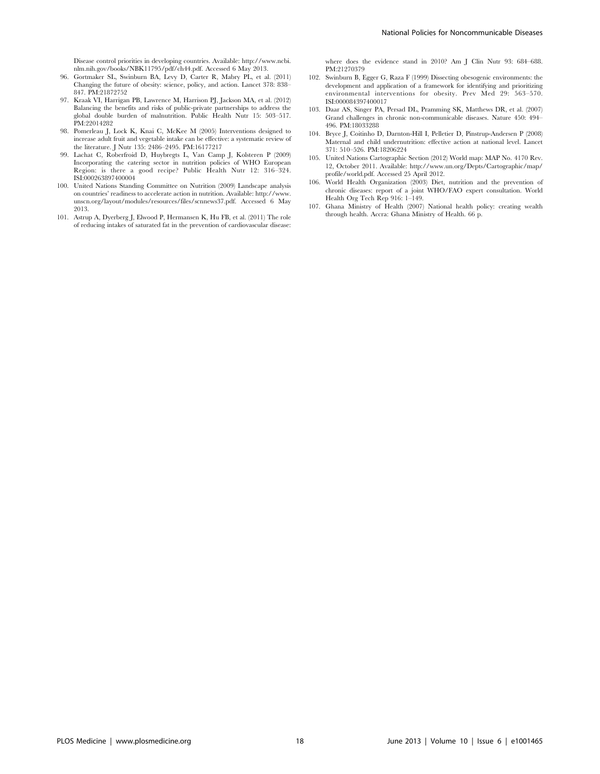Disease control priorities in developing countries. Available: http://www.ncbi. nlm.nih.gov/books/NBK11795/pdf/ch44.pdf. Accessed 6 May 2013.

- 96. Gortmaker SL, Swinburn BA, Levy D, Carter R, Mabry PL, et al. (2011) Changing the future of obesity: science, policy, and action. Lancet 378: 838– 847. PM:21872752
- 97. Kraak VI, Harrigan PB, Lawrence M, Harrison PJ, Jackson MA, et al. (2012) Balancing the benefits and risks of public-private partnerships to address the global double burden of malnutrition. Public Health Nutr 15: 503–517. PM:22014282
- 98. Pomerleau J, Lock K, Knai C, McKee M (2005) Interventions designed to increase adult fruit and vegetable intake can be effective: a systematic review of the literature. J Nutr 135: 2486–2495. PM:16177217
- 99. Lachat C, Roberfroid D, Huybregts L, Van Camp J, Kolsteren P (2009) Incorporating the catering sector in nutrition policies of WHO European Region: is there a good recipe? Public Health Nutr 12: 316–324. ISI:000263897400004
- 100. United Nations Standing Committee on Nutrition (2009) Landscape analysis on countries' readiness to accelerate action in nutrition. Available: http://www. unscn.org/layout/modules/resources/files/scnnews37.pdf. Accessed 6 May 2013.
- 101. Astrup A, Dyerberg J, Elwood P, Hermansen K, Hu FB, et al. (2011) The role of reducing intakes of saturated fat in the prevention of cardiovascular disease:

where does the evidence stand in 2010? Am J Clin Nutr 93: 684–688. PM:21270379

- 102. Swinburn B, Egger G, Raza F (1999) Dissecting obesogenic environments: the development and application of a framework for identifying and prioritizing environmental interventions for obesity. Prev Med 29: 563–570. ISI:000084397400017
- 103. Daar AS, Singer PA, Persad DL, Pramming SK, Matthews DR, et al. (2007) Grand challenges in chronic non-communicable diseases. Nature 450: 494– 496. PM:18033288
- 104. Bryce J, Coitinho D, Darnton-Hill I, Pelletier D, Pinstrup-Andersen P (2008) Maternal and child undernutrition: effective action at national level. Lancet 371: 510–526. PM:18206224
- 105. United Nations Cartographic Section (2012) World map: MAP No. 4170 Rev. 12, October 2011. Available: http://www.un.org/Depts/Cartographic/map/ profile/world.pdf. Accessed 25 April 2012.
- 106. World Health Organization (2003) Diet, nutrition and the prevention of chronic diseases: report of a joint WHO/FAO expert consultation. World Health Org Tech Rep 916: 1–149.
- 107. Ghana Ministry of Health (2007) National health policy: creating wealth through health. Accra: Ghana Ministry of Health. 66 p.